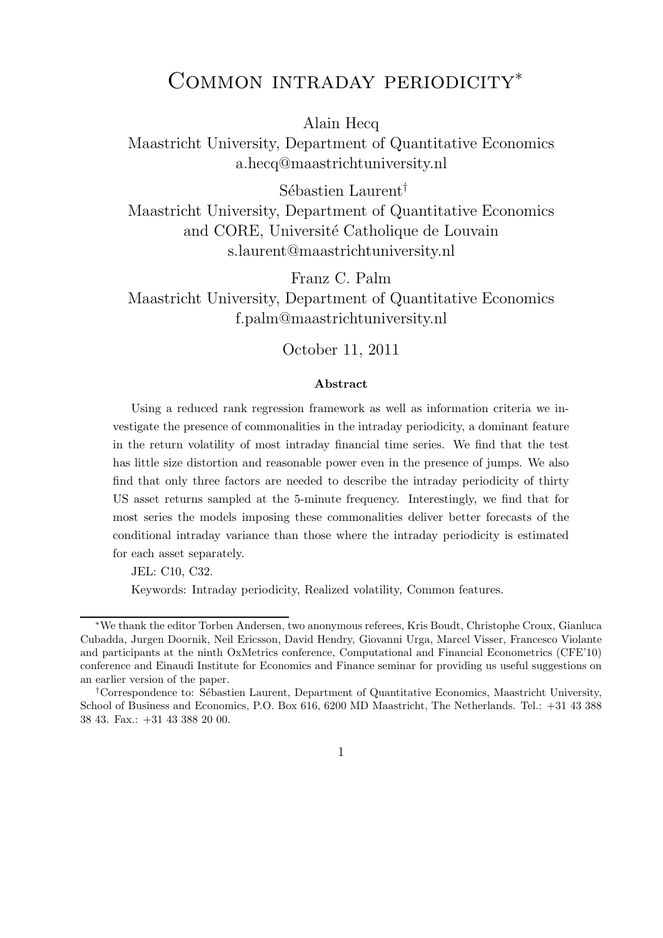## Common intraday periodicity<sup>∗</sup>

Alain Hecq

Maastricht University, Department of Quantitative Economics a.hecq@maastrichtuniversity.nl

Sébastien Laurent<sup>†</sup> Maastricht University, Department of Quantitative Economics and CORE, Université Catholique de Louvain s.laurent@maastrichtuniversity.nl

Franz C. Palm Maastricht University, Department of Quantitative Economics f.palm@maastrichtuniversity.nl

October 11, 2011

#### Abstract

Using a reduced rank regression framework as well as information criteria we investigate the presence of commonalities in the intraday periodicity, a dominant feature in the return volatility of most intraday financial time series. We find that the test has little size distortion and reasonable power even in the presence of jumps. We also find that only three factors are needed to describe the intraday periodicity of thirty US asset returns sampled at the 5-minute frequency. Interestingly, we find that for most series the models imposing these commonalities deliver better forecasts of the conditional intraday variance than those where the intraday periodicity is estimated for each asset separately.

JEL: C10, C32.

Keywords: Intraday periodicity, Realized volatility, Common features.

<sup>∗</sup>We thank the editor Torben Andersen, two anonymous referees, Kris Boudt, Christophe Croux, Gianluca Cubadda, Jurgen Doornik, Neil Ericsson, David Hendry, Giovanni Urga, Marcel Visser, Francesco Violante and participants at the ninth OxMetrics conference, Computational and Financial Econometrics (CFE'10) conference and Einaudi Institute for Economics and Finance seminar for providing us useful suggestions on an earlier version of the paper.

<sup>&</sup>lt;sup>†</sup>Correspondence to: Sébastien Laurent, Department of Quantitative Economics, Maastricht University, School of Business and Economics, P.O. Box 616, 6200 MD Maastricht, The Netherlands. Tel.: +31 43 388 38 43. Fax.: +31 43 388 20 00.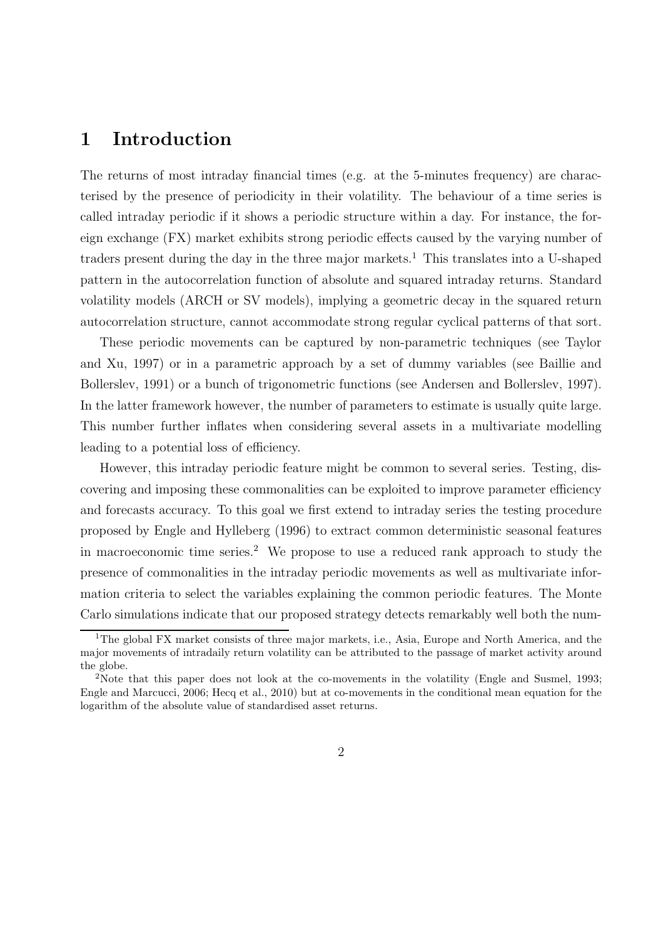## 1 Introduction

The returns of most intraday financial times (e.g. at the 5-minutes frequency) are characterised by the presence of periodicity in their volatility. The behaviour of a time series is called intraday periodic if it shows a periodic structure within a day. For instance, the foreign exchange (FX) market exhibits strong periodic effects caused by the varying number of traders present during the day in the three major markets.<sup>1</sup> This translates into a U-shaped pattern in the autocorrelation function of absolute and squared intraday returns. Standard volatility models (ARCH or SV models), implying a geometric decay in the squared return autocorrelation structure, cannot accommodate strong regular cyclical patterns of that sort.

These periodic movements can be captured by non-parametric techniques (see Taylor and Xu, 1997) or in a parametric approach by a set of dummy variables (see Baillie and Bollerslev, 1991) or a bunch of trigonometric functions (see Andersen and Bollerslev, 1997). In the latter framework however, the number of parameters to estimate is usually quite large. This number further inflates when considering several assets in a multivariate modelling leading to a potential loss of efficiency.

However, this intraday periodic feature might be common to several series. Testing, discovering and imposing these commonalities can be exploited to improve parameter efficiency and forecasts accuracy. To this goal we first extend to intraday series the testing procedure proposed by Engle and Hylleberg (1996) to extract common deterministic seasonal features in macroeconomic time series.<sup>2</sup> We propose to use a reduced rank approach to study the presence of commonalities in the intraday periodic movements as well as multivariate information criteria to select the variables explaining the common periodic features. The Monte Carlo simulations indicate that our proposed strategy detects remarkably well both the num-

<sup>&</sup>lt;sup>1</sup>The global FX market consists of three major markets, i.e., Asia, Europe and North America, and the major movements of intradaily return volatility can be attributed to the passage of market activity around the globe.

<sup>&</sup>lt;sup>2</sup>Note that this paper does not look at the co-movements in the volatility (Engle and Susmel, 1993; Engle and Marcucci, 2006; Hecq et al., 2010) but at co-movements in the conditional mean equation for the logarithm of the absolute value of standardised asset returns.

<sup>2</sup>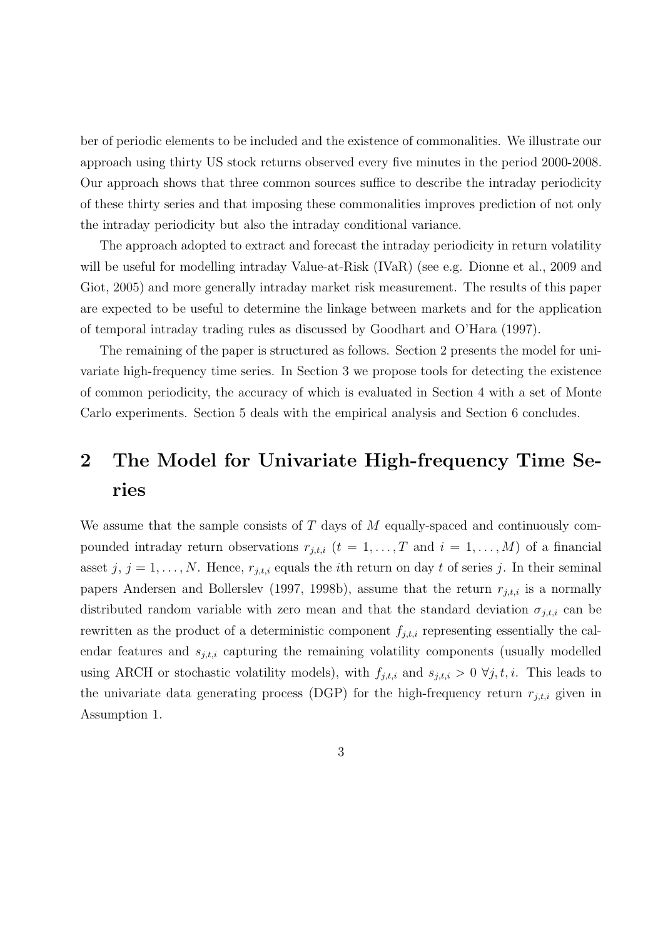ber of periodic elements to be included and the existence of commonalities. We illustrate our approach using thirty US stock returns observed every five minutes in the period 2000-2008. Our approach shows that three common sources suffice to describe the intraday periodicity of these thirty series and that imposing these commonalities improves prediction of not only the intraday periodicity but also the intraday conditional variance.

The approach adopted to extract and forecast the intraday periodicity in return volatility will be useful for modelling intraday Value-at-Risk (IVaR) (see e.g. Dionne et al., 2009 and Giot, 2005) and more generally intraday market risk measurement. The results of this paper are expected to be useful to determine the linkage between markets and for the application of temporal intraday trading rules as discussed by Goodhart and O'Hara (1997).

The remaining of the paper is structured as follows. Section 2 presents the model for univariate high-frequency time series. In Section 3 we propose tools for detecting the existence of common periodicity, the accuracy of which is evaluated in Section 4 with a set of Monte Carlo experiments. Section 5 deals with the empirical analysis and Section 6 concludes.

# 2 The Model for Univariate High-frequency Time Series

We assume that the sample consists of  $T$  days of  $M$  equally-spaced and continuously compounded intraday return observations  $r_{j,t,i}$   $(t = 1, \ldots, T$  and  $i = 1, \ldots, M$  of a financial asset j,  $j = 1, \ldots, N$ . Hence,  $r_{j,t,i}$  equals the *i*th return on day t of series j. In their seminal papers Andersen and Bollerslev (1997, 1998b), assume that the return  $r_{j,t,i}$  is a normally distributed random variable with zero mean and that the standard deviation  $\sigma_{j,t,i}$  can be rewritten as the product of a deterministic component  $f_{j,t,i}$  representing essentially the calendar features and  $s_{j,t,i}$  capturing the remaining volatility components (usually modelled using ARCH or stochastic volatility models), with  $f_{j,t,i}$  and  $s_{j,t,i} > 0 \ \forall j, t, i$ . This leads to the univariate data generating process (DGP) for the high-frequency return  $r_{j,t,i}$  given in Assumption 1.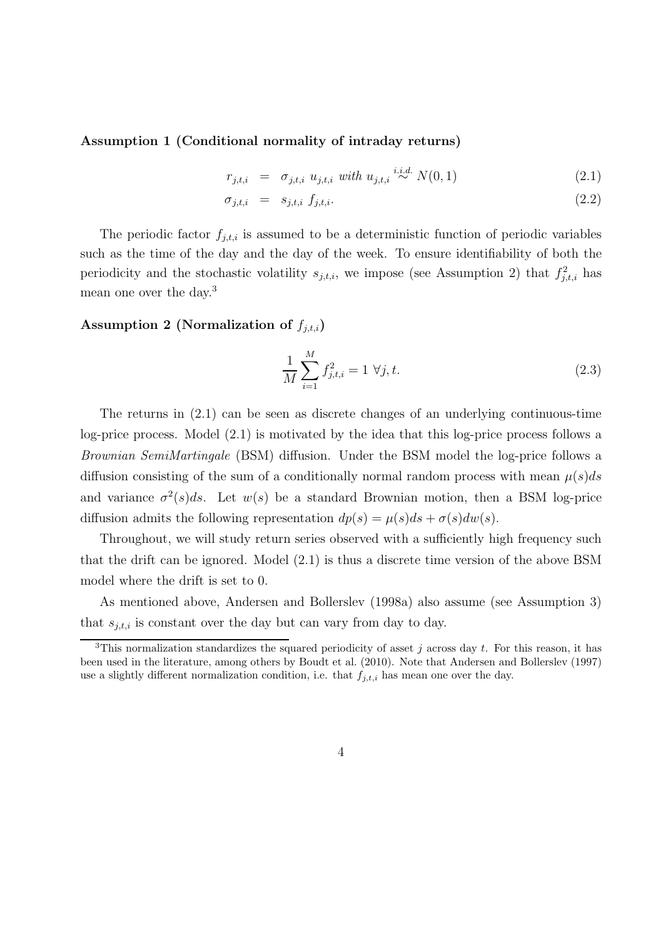Assumption 1 (Conditional normality of intraday returns)

$$
r_{j,t,i} = \sigma_{j,t,i} \ u_{j,t,i} \ with \ u_{j,t,i} \stackrel{i.i.d.}{\sim} N(0,1) \tag{2.1}
$$

$$
\sigma_{j,t,i} = s_{j,t,i} f_{j,t,i}.
$$
\n
$$
(2.2)
$$

The periodic factor  $f_{j,t,i}$  is assumed to be a deterministic function of periodic variables such as the time of the day and the day of the week. To ensure identifiability of both the periodicity and the stochastic volatility  $s_{j,t,i}$ , we impose (see Assumption 2) that  $f_{j,t,i}^2$  has mean one over the day.<sup>3</sup>

Assumption 2 (Normalization of  $f_{j,t,i}$ )

$$
\frac{1}{M} \sum_{i=1}^{M} f_{j,t,i}^2 = 1 \ \forall j, t. \tag{2.3}
$$

The returns in (2.1) can be seen as discrete changes of an underlying continuous-time log-price process. Model (2.1) is motivated by the idea that this log-price process follows a *Brownian SemiMartingale* (BSM) diffusion. Under the BSM model the log-price follows a diffusion consisting of the sum of a conditionally normal random process with mean  $\mu(s)ds$ and variance  $\sigma^2(s)ds$ . Let  $w(s)$  be a standard Brownian motion, then a BSM log-price diffusion admits the following representation  $dp(s) = \mu(s)ds + \sigma(s)dw(s)$ .

Throughout, we will study return series observed with a sufficiently high frequency such that the drift can be ignored. Model (2.1) is thus a discrete time version of the above BSM model where the drift is set to 0.

As mentioned above, Andersen and Bollerslev (1998a) also assume (see Assumption 3) that  $s_{j,t,i}$  is constant over the day but can vary from day to day.

<sup>&</sup>lt;sup>3</sup>This normalization standardizes the squared periodicity of asset j across day t. For this reason, it has been used in the literature, among others by Boudt et al. (2010). Note that Andersen and Bollerslev (1997) use a slightly different normalization condition, i.e. that  $f_{j,t,i}$  has mean one over the day.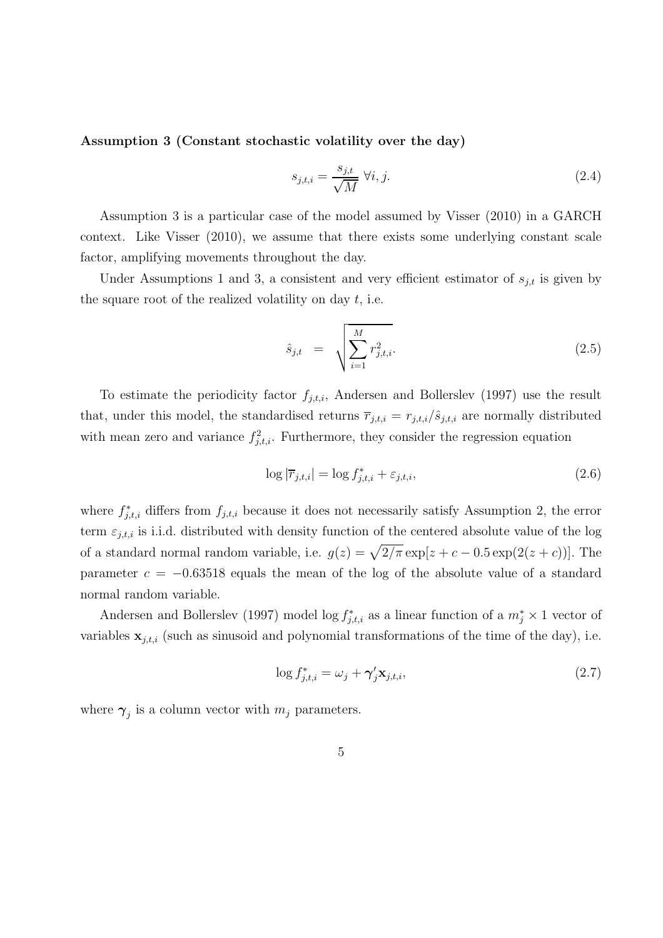Assumption 3 (Constant stochastic volatility over the day)

$$
s_{j,t,i} = \frac{s_{j,t}}{\sqrt{M}} \ \forall i, j. \tag{2.4}
$$

Assumption 3 is a particular case of the model assumed by Visser (2010) in a GARCH context. Like Visser (2010), we assume that there exists some underlying constant scale factor, amplifying movements throughout the day.

Under Assumptions 1 and 3, a consistent and very efficient estimator of  $s_{j,t}$  is given by the square root of the realized volatility on day  $t$ , i.e.

$$
\hat{s}_{j,t} = \sqrt{\sum_{i=1}^{M} r_{j,t,i}^2}.
$$
\n(2.5)

To estimate the periodicity factor  $f_{i,t,i}$ , Andersen and Bollerslev (1997) use the result that, under this model, the standardised returns  $\overline{r}_{j,t,i} = r_{j,t,i}/\hat{s}_{j,t,i}$  are normally distributed with mean zero and variance  $f_{j,t,i}^2$ . Furthermore, they consider the regression equation

$$
\log |\overline{r}_{j,t,i}| = \log f_{j,t,i}^* + \varepsilon_{j,t,i},\tag{2.6}
$$

where  $f_{j,t,i}^*$  differs from  $f_{j,t,i}$  because it does not necessarily satisfy Assumption 2, the error term  $\varepsilon_{j,t,i}$  is i.i.d. distributed with density function of the centered absolute value of the log of a standard normal random variable, i.e.  $g(z) = \sqrt{2/\pi} \exp[z + c - 0.5 \exp(2(z + c))]$ . The parameter  $c = -0.63518$  equals the mean of the log of the absolute value of a standard normal random variable.

Andersen and Bollerslev (1997) model  $\log f_{j,t,i}^*$  as a linear function of a  $m_j^* \times 1$  vector of variables  $\mathbf{x}_{j,t,i}$  (such as sinusoid and polynomial transformations of the time of the day), i.e.

$$
\log f_{j,t,i}^* = \omega_j + \gamma_j' \mathbf{x}_{j,t,i},\tag{2.7}
$$

where  $\gamma_j$  is a column vector with  $m_j$  parameters.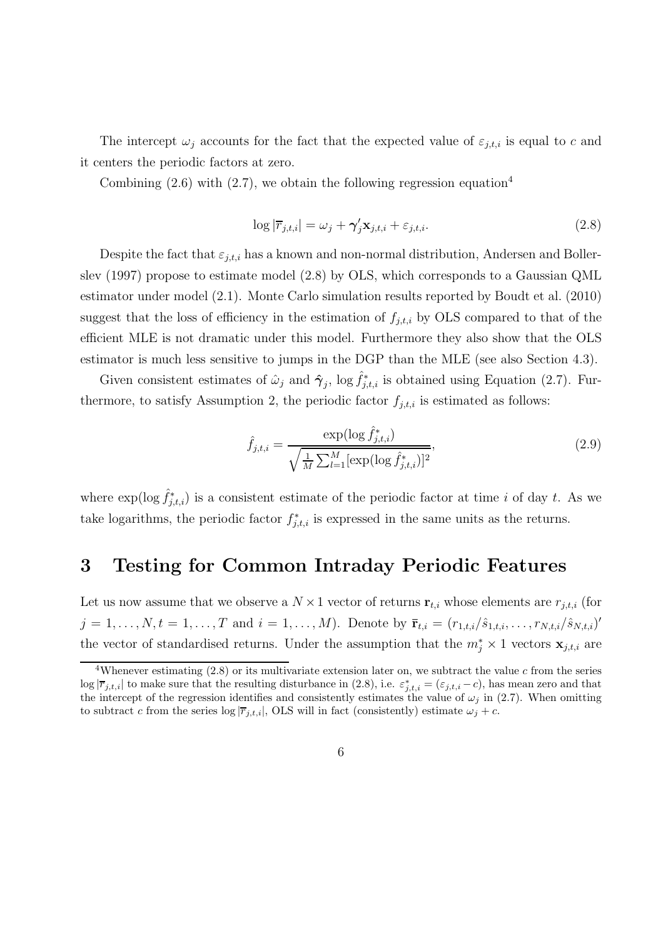The intercept  $\omega_i$  accounts for the fact that the expected value of  $\varepsilon_{j,t,i}$  is equal to c and it centers the periodic factors at zero.

Combining  $(2.6)$  with  $(2.7)$ , we obtain the following regression equation<sup>4</sup>

$$
\log|\overline{r}_{j,t,i}| = \omega_j + \gamma_j' \mathbf{x}_{j,t,i} + \varepsilon_{j,t,i}.
$$
\n(2.8)

Despite the fact that  $\varepsilon_{j,t,i}$  has a known and non-normal distribution, Andersen and Bollerslev (1997) propose to estimate model (2.8) by OLS, which corresponds to a Gaussian QML estimator under model (2.1). Monte Carlo simulation results reported by Boudt et al. (2010) suggest that the loss of efficiency in the estimation of  $f_{i,t,i}$  by OLS compared to that of the efficient MLE is not dramatic under this model. Furthermore they also show that the OLS estimator is much less sensitive to jumps in the DGP than the MLE (see also Section 4.3).

Given consistent estimates of  $\hat{\omega}_j$  and  $\hat{\gamma}_j$ ,  $\log \hat{f}_{j,t,i}^*$  is obtained using Equation (2.7). Furthermore, to satisfy Assumption 2, the periodic factor  $f_{j,t,i}$  is estimated as follows:

$$
\hat{f}_{j,t,i} = \frac{\exp(\log \hat{f}_{j,t,i}^*)}{\sqrt{\frac{1}{M} \sum_{l=1}^{M} [\exp(\log \hat{f}_{j,t,i}^*)]^2}},
$$
\n(2.9)

where  $\exp(\log \hat{f}_{j,t,i}^*)$  is a consistent estimate of the periodic factor at time i of day t. As we take logarithms, the periodic factor  $f_{j,t,i}^*$  is expressed in the same units as the returns.

## 3 Testing for Common Intraday Periodic Features

Let us now assume that we observe a  $N \times 1$  vector of returns  $\mathbf{r}_{t,i}$  whose elements are  $r_{i,t,i}$  (for  $j = 1, \ldots, N, t = 1, \ldots, T$  and  $i = 1, \ldots, M$ ). Denote by  $\bar{\mathbf{r}}_{t,i} = (r_{1,t,i}/\hat{s}_{1,t,i}, \ldots, r_{N,t,i}/\hat{s}_{N,t,i})'$ the vector of standardised returns. Under the assumption that the  $m_j^* \times 1$  vectors  $\mathbf{x}_{j,t,i}$  are

<sup>&</sup>lt;sup>4</sup>Whenever estimating  $(2.8)$  or its multivariate extension later on, we subtract the value c from the series  $\log |\overline{r}_{j,t,i}|$  to make sure that the resulting disturbance in (2.8), i.e.  $\varepsilon^*_{j,t,i} = (\varepsilon_{j,t,i} - c)$ , has mean zero and that the intercept of the regression identifies and consistently estimates the value of  $\omega_j$  in (2.7). When omitting to subtract c from the series  $log |\overline{r}_{j,t,i}|$ , OLS will in fact (consistently) estimate  $\omega_j + c$ .

<sup>6</sup>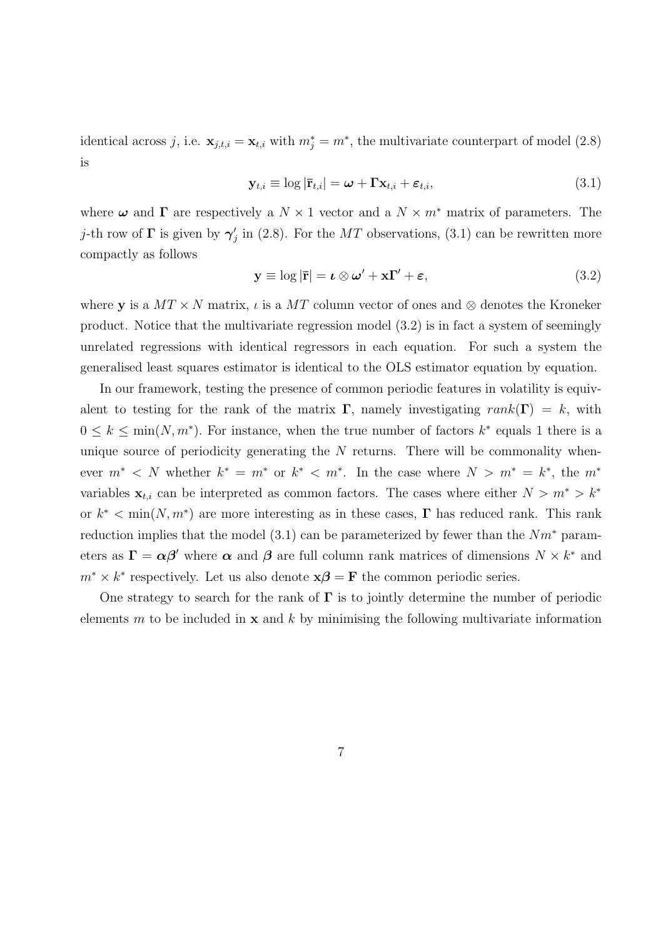identical across j, i.e.  $\mathbf{x}_{j,t,i} = \mathbf{x}_{t,i}$  with  $m_j^* = m^*$ , the multivariate counterpart of model (2.8) is

$$
\mathbf{y}_{t,i} \equiv \log |\mathbf{\bar{r}}_{t,i}| = \boldsymbol{\omega} + \mathbf{\Gamma} \mathbf{x}_{t,i} + \boldsymbol{\varepsilon}_{t,i},
$$
\n(3.1)

where  $\omega$  and  $\Gamma$  are respectively a  $N \times 1$  vector and a  $N \times m^*$  matrix of parameters. The j-th row of  $\Gamma$  is given by  $\gamma'_j$  in (2.8). For the MT observations, (3.1) can be rewritten more compactly as follows

$$
\mathbf{y} \equiv \log |\mathbf{\bar{r}}| = \boldsymbol{\iota} \otimes \boldsymbol{\omega}' + \mathbf{x} \mathbf{\Gamma}' + \boldsymbol{\varepsilon}, \tag{3.2}
$$

where y is a  $MT \times N$  matrix,  $\iota$  is a  $MT$  column vector of ones and ⊗ denotes the Kroneker product. Notice that the multivariate regression model (3.2) is in fact a system of seemingly unrelated regressions with identical regressors in each equation. For such a system the generalised least squares estimator is identical to the OLS estimator equation by equation.

In our framework, testing the presence of common periodic features in volatility is equivalent to testing for the rank of the matrix  $\Gamma$ , namely investigating rank( $\Gamma$ ) = k, with  $0 \leq k \leq \min(N, m^*)$ . For instance, when the true number of factors  $k^*$  equals 1 there is a unique source of periodicity generating the  $N$  returns. There will be commonality whenever  $m^*$  < N whether  $k^* = m^*$  or  $k^*$  <  $m^*$ . In the case where  $N > m^* = k^*$ , the  $m^*$ variables  $\mathbf{x}_{t,i}$  can be interpreted as common factors. The cases where either  $N > m^* > k^*$ or  $k^*$  < min $(N, m^*)$  are more interesting as in these cases,  $\Gamma$  has reduced rank. This rank reduction implies that the model  $(3.1)$  can be parameterized by fewer than the  $Nm^*$  parameters as  $\Gamma = \alpha \beta'$  where  $\alpha$  and  $\beta$  are full column rank matrices of dimensions  $N \times k^*$  and  $m^* \times k^*$  respectively. Let us also denote  $\mathbf{x}\beta = \mathbf{F}$  the common periodic series.

One strategy to search for the rank of  $\Gamma$  is to jointly determine the number of periodic elements m to be included in  $x$  and k by minimising the following multivariate information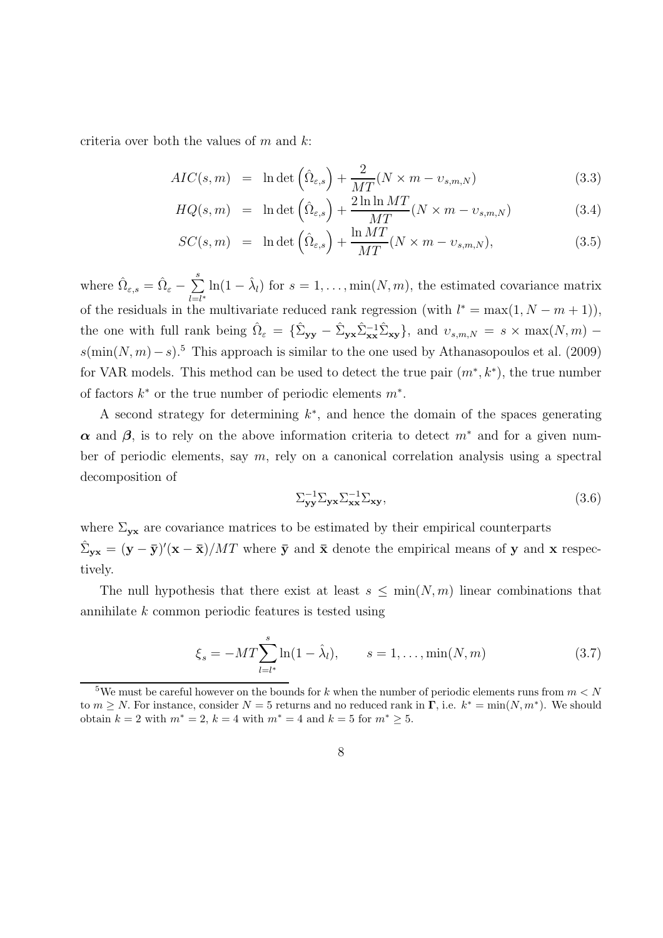criteria over both the values of  $m$  and  $k$ :

$$
AIC(s,m) = \ln \det \left( \hat{\Omega}_{\varepsilon,s} \right) + \frac{2}{MT} (N \times m - \upsilon_{s,m,N}) \tag{3.3}
$$

$$
HQ(s,m) = \ln \det \left( \hat{\Omega}_{\varepsilon,s} \right) + \frac{2 \ln \ln MT}{MT} (N \times m - \upsilon_{s,m,N}) \tag{3.4}
$$

$$
SC(s, m) = \ln \det \left( \hat{\Omega}_{\varepsilon,s} \right) + \frac{\ln MT}{MT} (N \times m - \upsilon_{s,m,N}), \tag{3.5}
$$

where  $\hat{\Omega}_{\varepsilon,s} = \hat{\Omega}_{\varepsilon} - \sum_{k=1}^{s}$  $\sum_{l=l^*}^{\infty} \ln(1-\hat{\lambda}_l)$  for  $s=1,\ldots,\min(N,m)$ , the estimated covariance matrix of the residuals in the multivariate reduced rank regression (with  $l^* = \max(1, N - m + 1)$ ), the one with full rank being  $\hat{\Omega}_{\varepsilon} = {\{\hat{\Sigma}_{\mathbf{y}\mathbf{y}} - \hat{\Sigma}_{\mathbf{y}\mathbf{x}}\hat{\Sigma}_{\mathbf{x}\mathbf{x}}^{-1}\hat{\Sigma}_{\mathbf{x}\mathbf{y}}\}}$ , and  $v_{s,m,N} = s \times \max(N,m)$  –  $s(\min(N, m) - s)$ .<sup>5</sup> This approach is similar to the one used by Athanasopoulos et al. (2009) for VAR models. This method can be used to detect the true pair  $(m^*, k^*)$ , the true number of factors  $k^*$  or the true number of periodic elements  $m^*$ .

A second strategy for determining  $k^*$ , and hence the domain of the spaces generating  $\alpha$  and  $\beta$ , is to rely on the above information criteria to detect  $m^*$  and for a given number of periodic elements, say  $m$ , rely on a canonical correlation analysis using a spectral decomposition of

$$
\sum_{\mathbf{y}\mathbf{y}}^{-1} \sum_{\mathbf{y}\mathbf{x}} \sum_{\mathbf{x}\mathbf{x}}^{-1} \sum_{\mathbf{x}\mathbf{y}},\tag{3.6}
$$

where  $\Sigma_{\mathbf{yx}}$  are covariance matrices to be estimated by their empirical counterparts  $\hat{\Sigma}_{\mathbf{y}\mathbf{x}} = (\mathbf{y} - \bar{\mathbf{y}})'(\mathbf{x} - \bar{\mathbf{x}})/MT$  where  $\bar{\mathbf{y}}$  and  $\bar{\mathbf{x}}$  denote the empirical means of y and x respectively.

The null hypothesis that there exist at least  $s \leq \min(N, m)$  linear combinations that annihilate k common periodic features is tested using

$$
\xi_s = -MT \sum_{l=l^*}^{s} \ln(1 - \hat{\lambda}_l), \qquad s = 1, \dots, \min(N, m)
$$
 (3.7)

<sup>&</sup>lt;sup>5</sup>We must be careful however on the bounds for k when the number of periodic elements runs from  $m < N$ to  $m \ge N$ . For instance, consider  $N = 5$  returns and no reduced rank in  $\Gamma$ , i.e.  $k^* = \min(N, m^*)$ . We should obtain  $k = 2$  with  $m^* = 2$ ,  $k = 4$  with  $m^* = 4$  and  $k = 5$  for  $m^* \geq 5$ .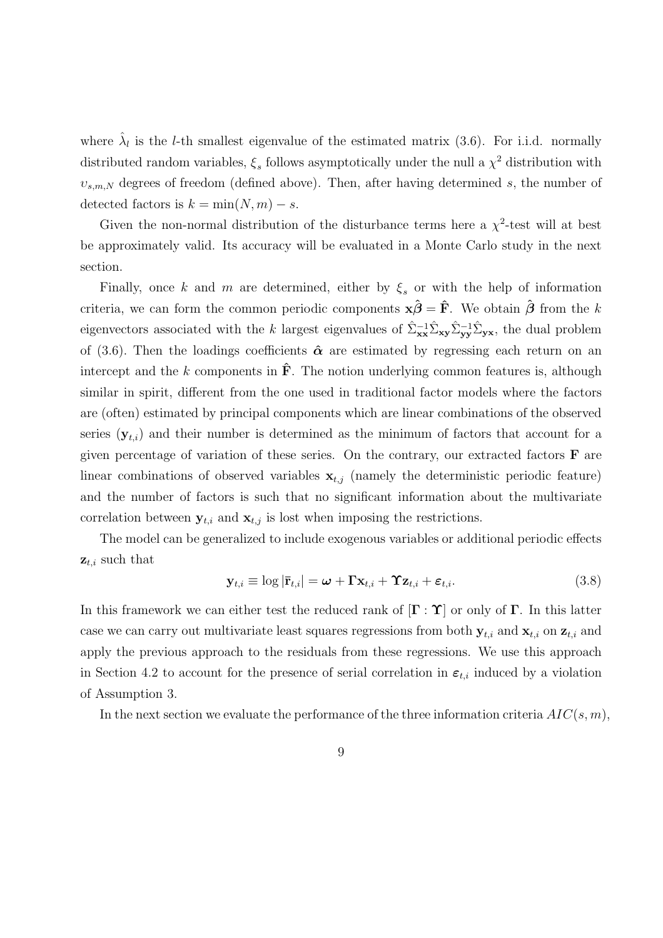where  $\hat{\lambda}_l$  is the *l*-th smallest eigenvalue of the estimated matrix (3.6). For i.i.d. normally distributed random variables,  $\xi_s$  follows asymptotically under the null a  $\chi^2$  distribution with  $v_{s,m,N}$  degrees of freedom (defined above). Then, after having determined s, the number of detected factors is  $k = \min(N, m) - s$ .

Given the non-normal distribution of the disturbance terms here a  $\chi^2$ -test will at best be approximately valid. Its accuracy will be evaluated in a Monte Carlo study in the next section.

Finally, once k and m are determined, either by  $\xi_s$  or with the help of information criteria, we can form the common periodic components  $\mathbf{x}\hat{\boldsymbol{\beta}} = \hat{\mathbf{F}}$ . We obtain  $\hat{\boldsymbol{\beta}}$  from the k eigenvectors associated with the k largest eigenvalues of  $\hat{\Sigma}_{\mathbf{x}\mathbf{x}}^{-1}\hat{\Sigma}_{\mathbf{x}\mathbf{y}}\hat{\Sigma}_{\mathbf{y}\mathbf{y}}^{-1}\hat{\Sigma}_{\mathbf{y}\mathbf{x}}$ , the dual problem of (3.6). Then the loadings coefficients  $\hat{\boldsymbol{\alpha}}$  are estimated by regressing each return on an intercept and the k components in  $\hat{F}$ . The notion underlying common features is, although similar in spirit, different from the one used in traditional factor models where the factors are (often) estimated by principal components which are linear combinations of the observed series  $(\mathbf{y}_{t,i})$  and their number is determined as the minimum of factors that account for a given percentage of variation of these series. On the contrary, our extracted factors  $\bf{F}$  are linear combinations of observed variables  $x_{t,j}$  (namely the deterministic periodic feature) and the number of factors is such that no significant information about the multivariate correlation between  $y_{t,i}$  and  $x_{t,j}$  is lost when imposing the restrictions.

The model can be generalized to include exogenous variables or additional periodic effects  $z_{t,i}$  such that

$$
\mathbf{y}_{t,i} \equiv \log |\mathbf{\bar{r}}_{t,i}| = \boldsymbol{\omega} + \mathbf{\Gamma} \mathbf{x}_{t,i} + \mathbf{\Upsilon} \mathbf{z}_{t,i} + \boldsymbol{\varepsilon}_{t,i}.
$$
 (3.8)

In this framework we can either test the reduced rank of  $[\Gamma : \Upsilon]$  or only of  $\Gamma$ . In this latter case we can carry out multivariate least squares regressions from both  $y_{t,i}$  and  $x_{t,i}$  on  $z_{t,i}$  and apply the previous approach to the residuals from these regressions. We use this approach in Section 4.2 to account for the presence of serial correlation in  $\varepsilon_{t,i}$  induced by a violation of Assumption 3.

In the next section we evaluate the performance of the three information criteria  $AIC(s, m)$ ,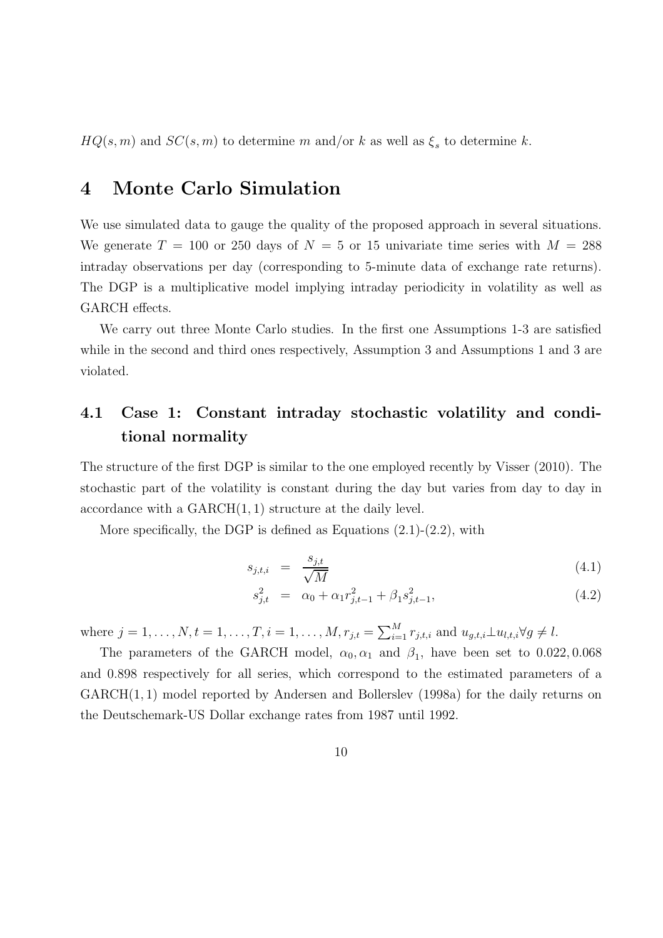$HQ(s, m)$  and  $SC(s, m)$  to determine m and/or k as well as  $\xi_s$  to determine k.

## 4 Monte Carlo Simulation

We use simulated data to gauge the quality of the proposed approach in several situations. We generate  $T = 100$  or 250 days of  $N = 5$  or 15 univariate time series with  $M = 288$ intraday observations per day (corresponding to 5-minute data of exchange rate returns). The DGP is a multiplicative model implying intraday periodicity in volatility as well as GARCH effects.

We carry out three Monte Carlo studies. In the first one Assumptions 1-3 are satisfied while in the second and third ones respectively, Assumption 3 and Assumptions 1 and 3 are violated.

## 4.1 Case 1: Constant intraday stochastic volatility and conditional normality

The structure of the first DGP is similar to the one employed recently by Visser (2010). The stochastic part of the volatility is constant during the day but varies from day to day in accordance with a GARCH(1, 1) structure at the daily level.

More specifically, the DGP is defined as Equations  $(2.1)-(2.2)$ , with

$$
s_{j,t,i} = \frac{s_{j,t}}{\sqrt{M}} \tag{4.1}
$$

$$
s_{j,t}^2 = \alpha_0 + \alpha_1 r_{j,t-1}^2 + \beta_1 s_{j,t-1}^2,
$$
\n(4.2)

where  $j = 1, ..., N, t = 1, ..., T, i = 1, ..., M, r_{j,t} = \sum_{i=1}^{M} r_{j,t,i}$  and  $u_{g,t,i} \perp u_{l,t,i} \forall g \neq l$ .

The parameters of the GARCH model,  $\alpha_0, \alpha_1$  and  $\beta_1$ , have been set to 0.022, 0.068 and 0.898 respectively for all series, which correspond to the estimated parameters of a GARCH(1, 1) model reported by Andersen and Bollerslev (1998a) for the daily returns on the Deutschemark-US Dollar exchange rates from 1987 until 1992.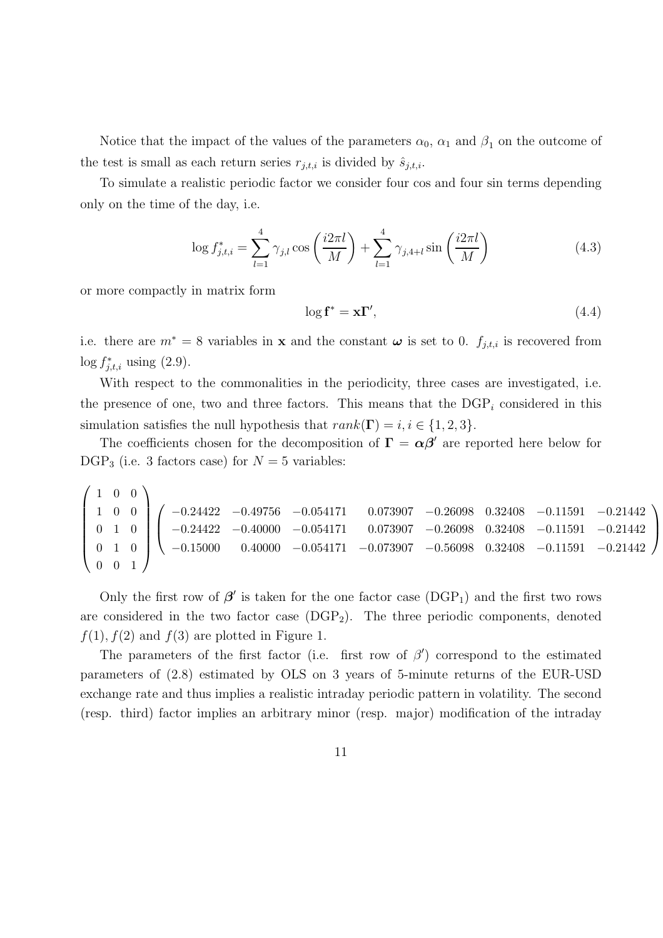Notice that the impact of the values of the parameters  $\alpha_0$ ,  $\alpha_1$  and  $\beta_1$  on the outcome of the test is small as each return series  $r_{j,t,i}$  is divided by  $\hat{s}_{j,t,i}$ .

To simulate a realistic periodic factor we consider four cos and four sin terms depending only on the time of the day, i.e.

$$
\log f_{j,t,i}^{*} = \sum_{l=1}^{4} \gamma_{j,l} \cos\left(\frac{i2\pi l}{M}\right) + \sum_{l=1}^{4} \gamma_{j,4+l} \sin\left(\frac{i2\pi l}{M}\right)
$$
(4.3)

or more compactly in matrix form

$$
\log \mathbf{f}^* = \mathbf{x} \mathbf{\Gamma}',\tag{4.4}
$$

 $\setminus$ 

 $\Big\}$ 

i.e. there are  $m^* = 8$  variables in **x** and the constant  $\boldsymbol{\omega}$  is set to 0.  $f_{j,t,i}$  is recovered from  $\log f_{j,t,i}^*$  using (2.9).

With respect to the commonalities in the periodicity, three cases are investigated, i.e. the presence of one, two and three factors. This means that the  $\text{DGP}_i$  considered in this simulation satisfies the null hypothesis that  $rank(\Gamma) = i, i \in \{1, 2, 3\}.$ 

The coefficients chosen for the decomposition of  $\Gamma = \alpha \beta'$  are reported here below for  $DGP_3$  (i.e. 3 factors case) for  $N = 5$  variables:

 $\begin{pmatrix} 1 & 0 & 0 \end{pmatrix}$  1 0 0 0 1 0 0 1 0 0 0 1  $\setminus$  $\begin{array}{c} \hline \end{array}$  $\sqrt{ }$  $\overline{ }$ −0.24422 −0.49756 −0.054171 0.073907 −0.26098 0.32408 −0.11591 −0.21442 −0.24422 −0.40000 −0.054171 0.073907 −0.26098 0.32408 −0.11591 −0.21442 −0.15000 0.40000 −0.054171 −0.073907 −0.56098 0.32408 −0.11591 −0.21442

Only the first row of  $\beta'$  is taken for the one factor case (DGP<sub>1</sub>) and the first two rows are considered in the two factor case  $(DGP_2)$ . The three periodic components, denoted  $f(1)$ ,  $f(2)$  and  $f(3)$  are plotted in Figure 1.

The parameters of the first factor (i.e. first row of  $\beta'$ ) correspond to the estimated parameters of (2.8) estimated by OLS on 3 years of 5-minute returns of the EUR-USD exchange rate and thus implies a realistic intraday periodic pattern in volatility. The second (resp. third) factor implies an arbitrary minor (resp. major) modification of the intraday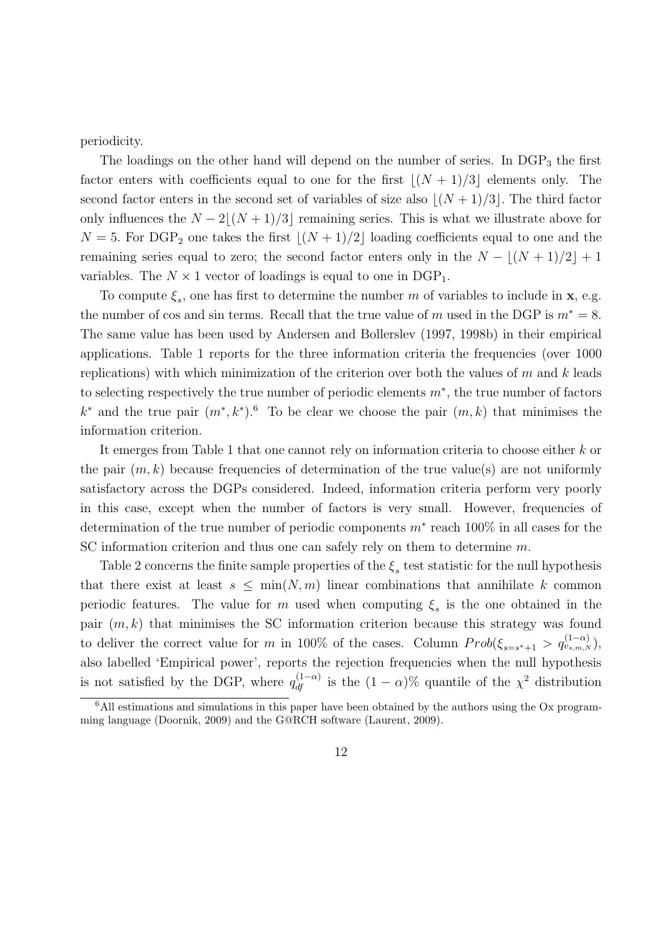periodicity.

The loadings on the other hand will depend on the number of series. In  $DGP_3$  the first factor enters with coefficients equal to one for the first  $|(N + 1)/3|$  elements only. The second factor enters in the second set of variables of size also  $|(N+1)/3|$ . The third factor only influences the  $N - 2|(N + 1)/3|$  remaining series. This is what we illustrate above for  $N = 5$ . For DGP<sub>2</sub> one takes the first  $\lfloor (N + 1)/2 \rfloor$  loading coefficients equal to one and the remaining series equal to zero; the second factor enters only in the  $N - \lfloor (N + 1)/2 \rfloor + 1$ variables. The  $N \times 1$  vector of loadings is equal to one in DGP<sub>1</sub>.

To compute  $\xi_s$ , one has first to determine the number m of variables to include in **x**, e.g. the number of cos and sin terms. Recall that the true value of m used in the DGP is  $m^* = 8$ . The same value has been used by Andersen and Bollerslev (1997, 1998b) in their empirical applications. Table 1 reports for the three information criteria the frequencies (over 1000 replications) with which minimization of the criterion over both the values of  $m$  and  $k$  leads to selecting respectively the true number of periodic elements  $m^*$ , the true number of factors  $k^*$  and the true pair  $(m^*, k^*)$ .<sup>6</sup> To be clear we choose the pair  $(m, k)$  that minimises the information criterion.

It emerges from Table 1 that one cannot rely on information criteria to choose either k or the pair  $(m, k)$  because frequencies of determination of the true value(s) are not uniformly satisfactory across the DGPs considered. Indeed, information criteria perform very poorly in this case, except when the number of factors is very small. However, frequencies of determination of the true number of periodic components  $m^*$  reach 100% in all cases for the SC information criterion and thus one can safely rely on them to determine m.

Table 2 concerns the finite sample properties of the  $\xi_s$  test statistic for the null hypothesis that there exist at least  $s \leq \min(N, m)$  linear combinations that annihilate k common periodic features. The value for m used when computing  $\xi_s$  is the one obtained in the pair  $(m, k)$  that minimises the SC information criterion because this strategy was found to deliver the correct value for m in 100% of the cases. Column  $Prob(\xi_{s=s^*+1} > q_{v_{s,m,N}}^{(1-\alpha)}),$ also labelled 'Empirical power', reports the rejection frequencies when the null hypothesis is not satisfied by the DGP, where  $q_{df}^{(1-\alpha)}$  is the  $(1-\alpha)\%$  quantile of the  $\chi^2$  distribution

 $6$ All estimations and simulations in this paper have been obtained by the authors using the Ox programming language (Doornik, 2009) and the G@RCH software (Laurent, 2009).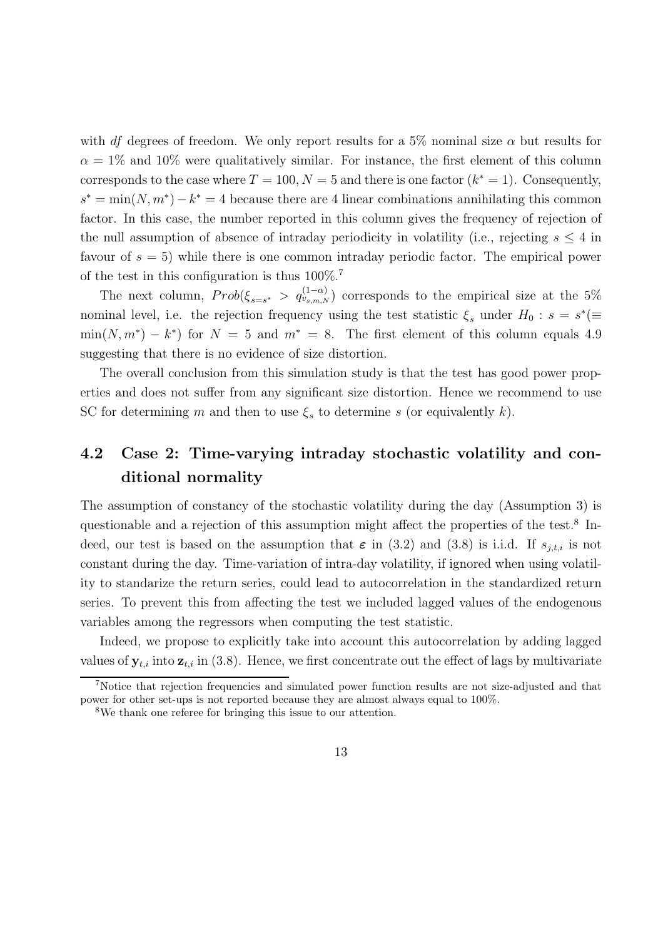with df degrees of freedom. We only report results for a 5% nominal size  $\alpha$  but results for  $\alpha = 1\%$  and 10% were qualitatively similar. For instance, the first element of this column corresponds to the case where  $T = 100, N = 5$  and there is one factor  $(k^* = 1)$ . Consequently,  $s^* = \min(N, m^*) - k^* = 4$  because there are 4 linear combinations annihilating this common factor. In this case, the number reported in this column gives the frequency of rejection of the null assumption of absence of intraday periodicity in volatility (i.e., rejecting  $s \leq 4$  in favour of  $s = 5$ ) while there is one common intraday periodic factor. The empirical power of the test in this configuration is thus 100%.<sup>7</sup>

The next column,  $Prob(\xi_{s=s^*} > q_{v_{s,m,N}}^{(1-\alpha)})$  corresponds to the empirical size at the 5% nominal level, i.e. the rejection frequency using the test statistic  $\xi_s$  under  $H_0$ :  $s = s^*$ ( $\equiv$  $\min(N, m^*) - k^*$  for  $N = 5$  and  $m^* = 8$ . The first element of this column equals 4.9 suggesting that there is no evidence of size distortion.

The overall conclusion from this simulation study is that the test has good power properties and does not suffer from any significant size distortion. Hence we recommend to use SC for determining m and then to use  $\xi_s$  to determine s (or equivalently k).

## 4.2 Case 2: Time-varying intraday stochastic volatility and conditional normality

The assumption of constancy of the stochastic volatility during the day (Assumption 3) is questionable and a rejection of this assumption might affect the properties of the test.<sup>8</sup> Indeed, our test is based on the assumption that  $\varepsilon$  in (3.2) and (3.8) is i.i.d. If  $s_{i,t,i}$  is not constant during the day. Time-variation of intra-day volatility, if ignored when using volatility to standarize the return series, could lead to autocorrelation in the standardized return series. To prevent this from affecting the test we included lagged values of the endogenous variables among the regressors when computing the test statistic.

Indeed, we propose to explicitly take into account this autocorrelation by adding lagged values of  $y_{t,i}$  into  $z_{t,i}$  in (3.8). Hence, we first concentrate out the effect of lags by multivariate

<sup>7</sup>Notice that rejection frequencies and simulated power function results are not size-adjusted and that power for other set-ups is not reported because they are almost always equal to 100%.

<sup>8</sup>We thank one referee for bringing this issue to our attention.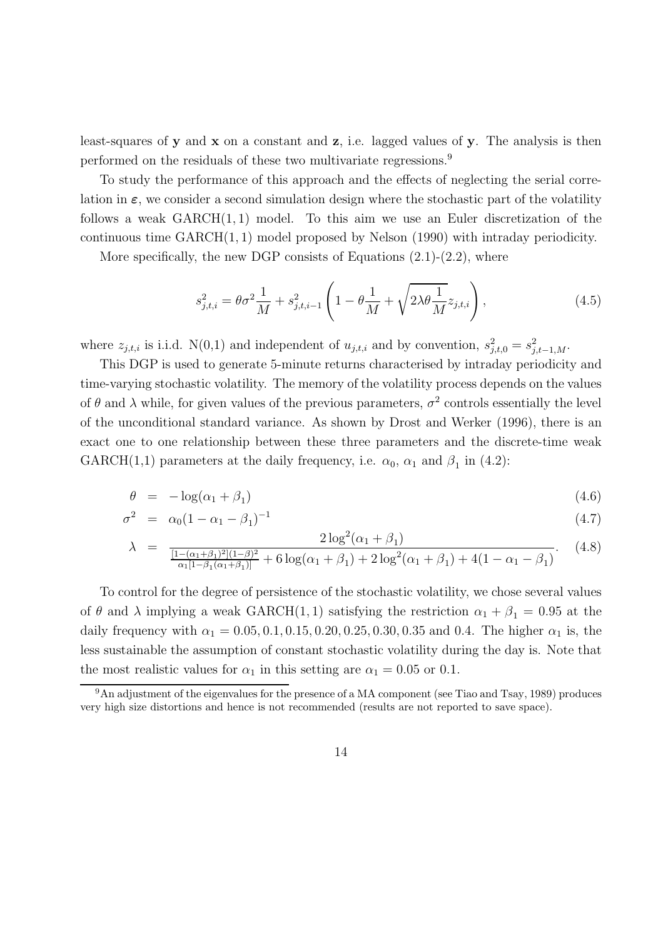least-squares of y and x on a constant and z, i.e. lagged values of y. The analysis is then performed on the residuals of these two multivariate regressions.<sup>9</sup>

To study the performance of this approach and the effects of neglecting the serial correlation in  $\varepsilon$ , we consider a second simulation design where the stochastic part of the volatility follows a weak  $GARCH(1, 1)$  model. To this aim we use an Euler discretization of the continuous time GARCH(1, 1) model proposed by Nelson (1990) with intraday periodicity.

More specifically, the new DGP consists of Equations  $(2.1)-(2.2)$ , where

$$
s_{j,t,i}^2 = \theta \sigma^2 \frac{1}{M} + s_{j,t,i-1}^2 \left( 1 - \theta \frac{1}{M} + \sqrt{2\lambda \theta \frac{1}{M}} z_{j,t,i} \right),
$$
 (4.5)

where  $z_{j,t,i}$  is i.i.d. N(0,1) and independent of  $u_{j,t,i}$  and by convention,  $s_{j,t,0}^2 = s_{j,t-1,M}^2$ .

This DGP is used to generate 5-minute returns characterised by intraday periodicity and time-varying stochastic volatility. The memory of the volatility process depends on the values of  $\theta$  and  $\lambda$  while, for given values of the previous parameters,  $\sigma^2$  controls essentially the level of the unconditional standard variance. As shown by Drost and Werker (1996), there is an exact one to one relationship between these three parameters and the discrete-time weak  $GARCH(1,1)$  parameters at the daily frequency, i.e.  $\alpha_0$ ,  $\alpha_1$  and  $\beta_1$  in (4.2):

$$
\theta = -\log(\alpha_1 + \beta_1) \tag{4.6}
$$

$$
\sigma^2 = \alpha_0 (1 - \alpha_1 - \beta_1)^{-1} \tag{4.7}
$$

$$
\lambda = \frac{2\log^2(\alpha_1 + \beta_1)}{\frac{[1 - (\alpha_1 + \beta_1)^2](1 - \beta)^2}{\alpha_1 [1 - \beta_1(\alpha_1 + \beta_1)]} + 6\log(\alpha_1 + \beta_1) + 2\log^2(\alpha_1 + \beta_1) + 4(1 - \alpha_1 - \beta_1)}.
$$
(4.8)

To control for the degree of persistence of the stochastic volatility, we chose several values of  $\theta$  and  $\lambda$  implying a weak GARCH(1, 1) satisfying the restriction  $\alpha_1 + \beta_1 = 0.95$  at the daily frequency with  $\alpha_1 = 0.05, 0.1, 0.15, 0.20, 0.25, 0.30, 0.35$  and 0.4. The higher  $\alpha_1$  is, the less sustainable the assumption of constant stochastic volatility during the day is. Note that the most realistic values for  $\alpha_1$  in this setting are  $\alpha_1 = 0.05$  or 0.1.

<sup>9</sup>An adjustment of the eigenvalues for the presence of a MA component (see Tiao and Tsay, 1989) produces very high size distortions and hence is not recommended (results are not reported to save space).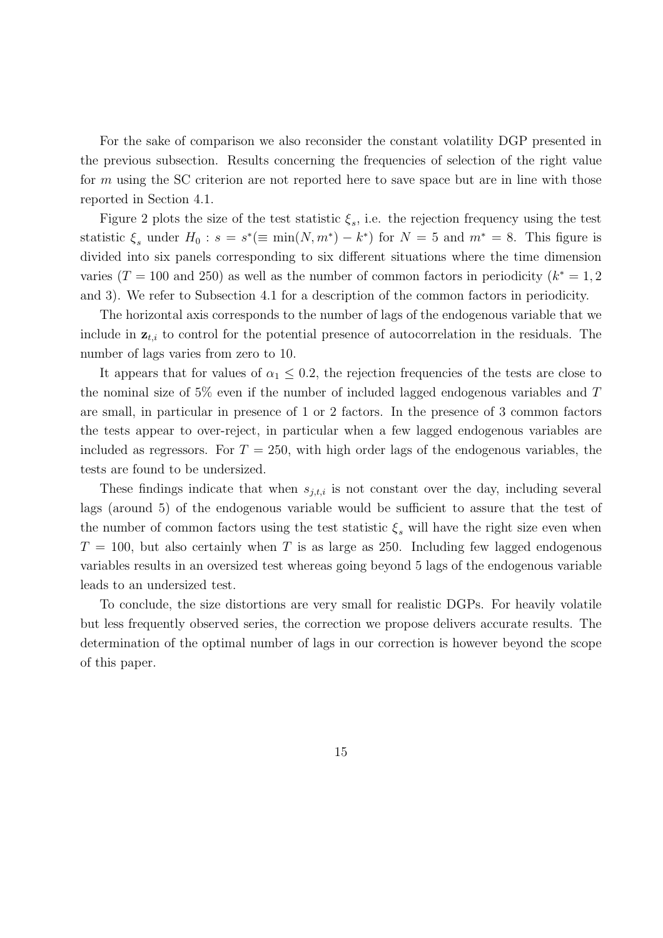For the sake of comparison we also reconsider the constant volatility DGP presented in the previous subsection. Results concerning the frequencies of selection of the right value for m using the SC criterion are not reported here to save space but are in line with those reported in Section 4.1.

Figure 2 plots the size of the test statistic  $\xi_s$ , i.e. the rejection frequency using the test statistic  $\xi_s$  under  $H_0: s = s^*(\equiv \min(N, m^*) - k^*)$  for  $N = 5$  and  $m^* = 8$ . This figure is divided into six panels corresponding to six different situations where the time dimension varies ( $T = 100$  and 250) as well as the number of common factors in periodicity ( $k^* = 1, 2$ ) and 3). We refer to Subsection 4.1 for a description of the common factors in periodicity.

The horizontal axis corresponds to the number of lags of the endogenous variable that we include in  $z_{t,i}$  to control for the potential presence of autocorrelation in the residuals. The number of lags varies from zero to 10.

It appears that for values of  $\alpha_1 \leq 0.2$ , the rejection frequencies of the tests are close to the nominal size of 5% even if the number of included lagged endogenous variables and T are small, in particular in presence of 1 or 2 factors. In the presence of 3 common factors the tests appear to over-reject, in particular when a few lagged endogenous variables are included as regressors. For  $T = 250$ , with high order lags of the endogenous variables, the tests are found to be undersized.

These findings indicate that when  $s_{j,t,i}$  is not constant over the day, including several lags (around 5) of the endogenous variable would be sufficient to assure that the test of the number of common factors using the test statistic  $\xi_s$  will have the right size even when  $T = 100$ , but also certainly when T is as large as 250. Including few lagged endogenous variables results in an oversized test whereas going beyond 5 lags of the endogenous variable leads to an undersized test.

To conclude, the size distortions are very small for realistic DGPs. For heavily volatile but less frequently observed series, the correction we propose delivers accurate results. The determination of the optimal number of lags in our correction is however beyond the scope of this paper.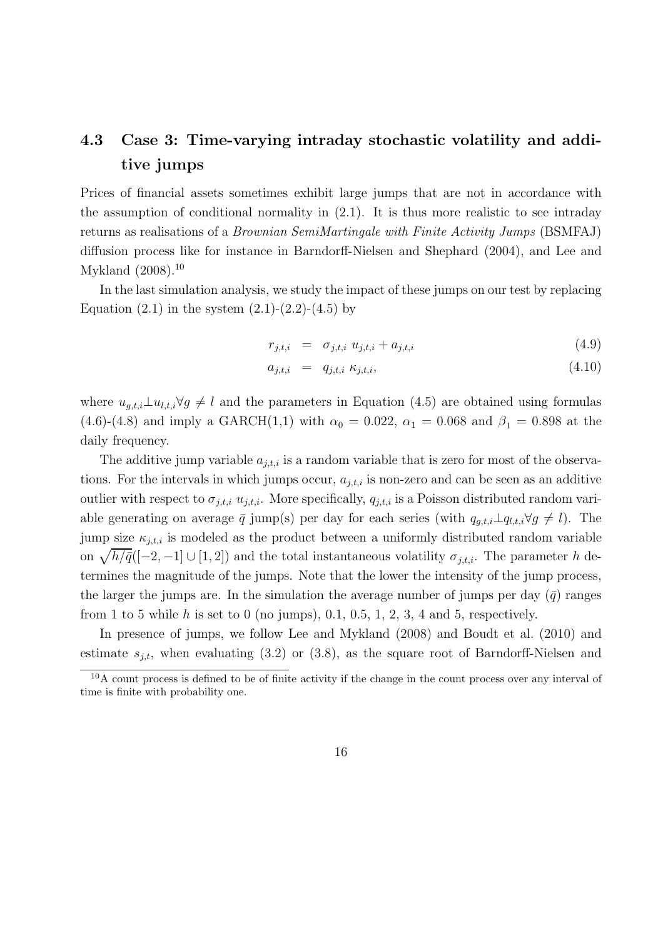## 4.3 Case 3: Time-varying intraday stochastic volatility and additive jumps

Prices of financial assets sometimes exhibit large jumps that are not in accordance with the assumption of conditional normality in (2.1). It is thus more realistic to see intraday returns as realisations of a *Brownian SemiMartingale with Finite Activity Jumps* (BSMFAJ) diffusion process like for instance in Barndorff-Nielsen and Shephard (2004), and Lee and Mykland (2008).<sup>10</sup>

In the last simulation analysis, we study the impact of these jumps on our test by replacing Equation  $(2.1)$  in the system  $(2.1)-(2.2)-(4.5)$  by

$$
r_{j,t,i} = \sigma_{j,t,i} u_{j,t,i} + a_{j,t,i}
$$
\n(4.9)

$$
a_{j,t,i} = q_{j,t,i} \kappa_{j,t,i}, \qquad (4.10)
$$

where  $u_{g,t,i} \perp u_{l,t,i} \forall g \neq l$  and the parameters in Equation (4.5) are obtained using formulas (4.6)-(4.8) and imply a GARCH(1,1) with  $\alpha_0 = 0.022$ ,  $\alpha_1 = 0.068$  and  $\beta_1 = 0.898$  at the daily frequency.

The additive jump variable  $a_{j,t,i}$  is a random variable that is zero for most of the observations. For the intervals in which jumps occur,  $a_{j,t,i}$  is non-zero and can be seen as an additive outlier with respect to  $\sigma_{j,t,i}$ ,  $u_{j,t,i}$ . More specifically,  $q_{j,t,i}$  is a Poisson distributed random variable generating on average  $\bar{q}$  jump(s) per day for each series (with  $q_{q,t,i} \perp q_{l,t,i} \forall g \neq l$ ). The jump size  $\kappa_{j,t,i}$  is modeled as the product between a uniformly distributed random variable on  $\sqrt{h/\bar{q}}([-2, -1] \cup [1, 2])$  and the total instantaneous volatility  $\sigma_{j,t,i}$ . The parameter h determines the magnitude of the jumps. Note that the lower the intensity of the jump process, the larger the jumps are. In the simulation the average number of jumps per day  $(\bar{q})$  ranges from 1 to 5 while h is set to 0 (no jumps), 0.1, 0.5, 1, 2, 3, 4 and 5, respectively.

In presence of jumps, we follow Lee and Mykland (2008) and Boudt et al. (2010) and estimate  $s_{i,t}$ , when evaluating (3.2) or (3.8), as the square root of Barndorff-Nielsen and

<sup>10</sup>A count process is defined to be of finite activity if the change in the count process over any interval of time is finite with probability one.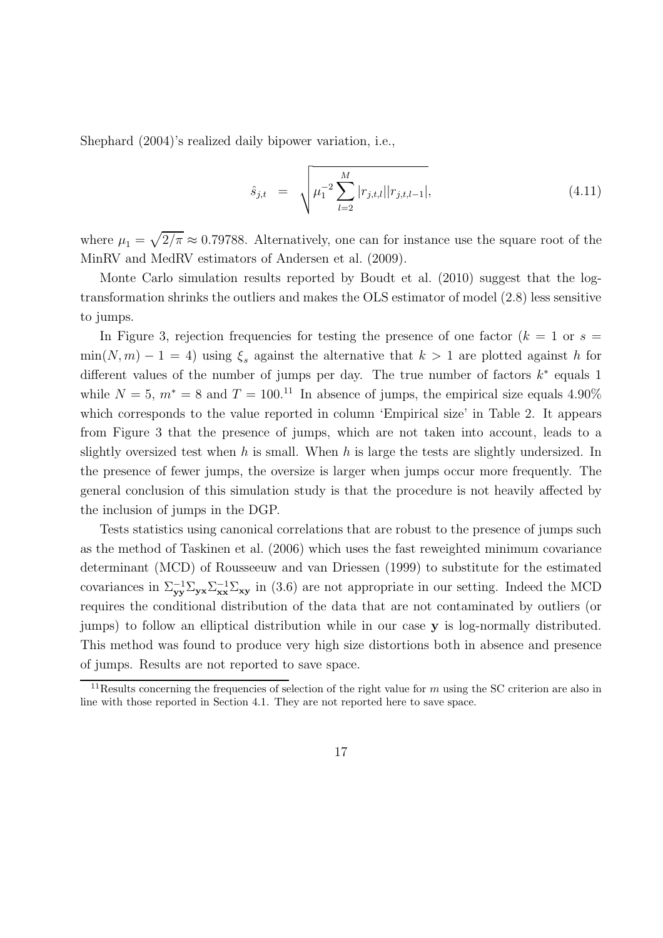Shephard (2004)'s realized daily bipower variation, i.e.,

$$
\hat{s}_{j,t} = \sqrt{\mu_1^{-2} \sum_{l=2}^{M} |r_{j,t,l}| |r_{j,t,l-1}|}, \qquad (4.11)
$$

where  $\mu_1 = \sqrt{2/\pi} \approx 0.79788$ . Alternatively, one can for instance use the square root of the MinRV and MedRV estimators of Andersen et al. (2009).

Monte Carlo simulation results reported by Boudt et al. (2010) suggest that the logtransformation shrinks the outliers and makes the OLS estimator of model (2.8) less sensitive to jumps.

In Figure 3, rejection frequencies for testing the presence of one factor  $(k = 1 \text{ or } s =$  $min(N, m) - 1 = 4$ ) using  $\xi_s$  against the alternative that  $k > 1$  are plotted against h for different values of the number of jumps per day. The true number of factors  $k^*$  equals 1 while  $N = 5$ ,  $m^* = 8$  and  $T = 100^{11}$  In absence of jumps, the empirical size equals 4.90% which corresponds to the value reported in column 'Empirical size' in Table 2. It appears from Figure 3 that the presence of jumps, which are not taken into account, leads to a slightly oversized test when h is small. When h is large the tests are slightly undersized. In the presence of fewer jumps, the oversize is larger when jumps occur more frequently. The general conclusion of this simulation study is that the procedure is not heavily affected by the inclusion of jumps in the DGP.

Tests statistics using canonical correlations that are robust to the presence of jumps such as the method of Taskinen et al. (2006) which uses the fast reweighted minimum covariance determinant (MCD) of Rousseeuw and van Driessen (1999) to substitute for the estimated covariances in  $\Sigma_{yy}^{-1}\Sigma_{yx}\Sigma_{xx}^{-1}\Sigma_{xy}$  in (3.6) are not appropriate in our setting. Indeed the MCD requires the conditional distribution of the data that are not contaminated by outliers (or jumps) to follow an elliptical distribution while in our case y is log-normally distributed. This method was found to produce very high size distortions both in absence and presence of jumps. Results are not reported to save space.

<sup>&</sup>lt;sup>11</sup>Results concerning the frequencies of selection of the right value for m using the SC criterion are also in line with those reported in Section 4.1. They are not reported here to save space.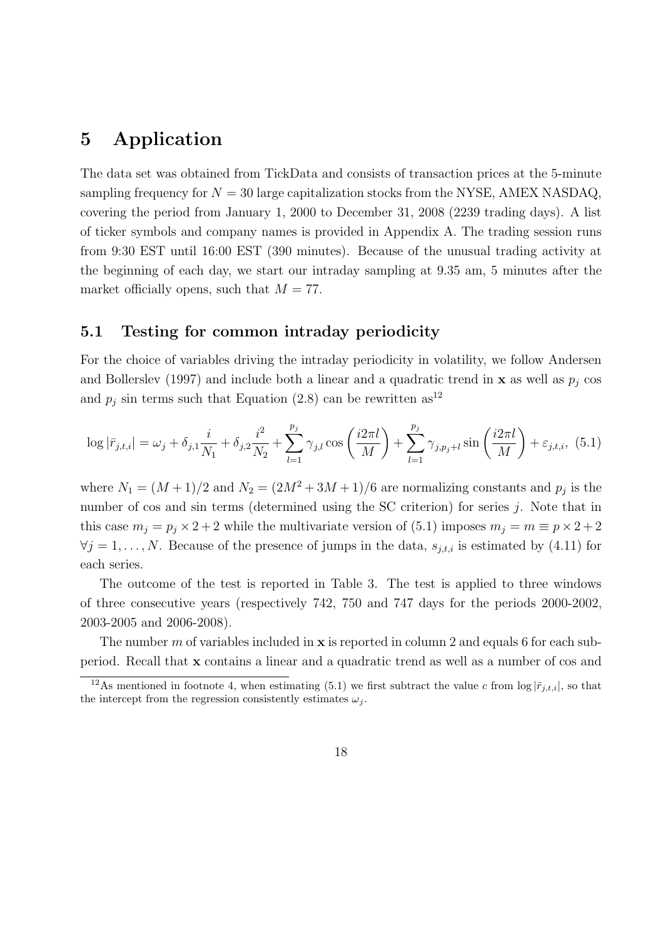## 5 Application

The data set was obtained from TickData and consists of transaction prices at the 5-minute sampling frequency for  $N = 30$  large capitalization stocks from the NYSE, AMEX NASDAQ, covering the period from January 1, 2000 to December 31, 2008 (2239 trading days). A list of ticker symbols and company names is provided in Appendix A. The trading session runs from 9:30 EST until 16:00 EST (390 minutes). Because of the unusual trading activity at the beginning of each day, we start our intraday sampling at 9.35 am, 5 minutes after the market officially opens, such that  $M = 77$ .

#### 5.1 Testing for common intraday periodicity

For the choice of variables driving the intraday periodicity in volatility, we follow Andersen and Bollerslev (1997) and include both a linear and a quadratic trend in  $\bf{x}$  as well as  $p_j$  cos and  $p_j$  sin terms such that Equation (2.8) can be rewritten as<sup>12</sup>

$$
\log|\bar{r}_{j,t,i}| = \omega_j + \delta_{j,1}\frac{i}{N_1} + \delta_{j,2}\frac{i^2}{N_2} + \sum_{l=1}^{p_j} \gamma_{j,l} \cos\left(\frac{i2\pi l}{M}\right) + \sum_{l=1}^{p_j} \gamma_{j,p_j+l} \sin\left(\frac{i2\pi l}{M}\right) + \varepsilon_{j,t,i}, \tag{5.1}
$$

where  $N_1 = (M+1)/2$  and  $N_2 = (2M^2+3M+1)/6$  are normalizing constants and  $p_j$  is the number of cos and sin terms (determined using the SC criterion) for series j. Note that in this case  $m_j = p_j \times 2 + 2$  while the multivariate version of (5.1) imposes  $m_j = m \equiv p \times 2 + 2$  $\forall j = 1, \ldots, N$ . Because of the presence of jumps in the data,  $s_{j,t,i}$  is estimated by (4.11) for each series.

The outcome of the test is reported in Table 3. The test is applied to three windows of three consecutive years (respectively 742, 750 and 747 days for the periods 2000-2002, 2003-2005 and 2006-2008).

The number m of variables included in  $x$  is reported in column 2 and equals 6 for each subperiod. Recall that x contains a linear and a quadratic trend as well as a number of cos and

<sup>&</sup>lt;sup>12</sup>As mentioned in footnote 4, when estimating (5.1) we first subtract the value c from  $\log |\bar{r}_{j,t,i}|$ , so that the intercept from the regression consistently estimates  $\omega_i$ .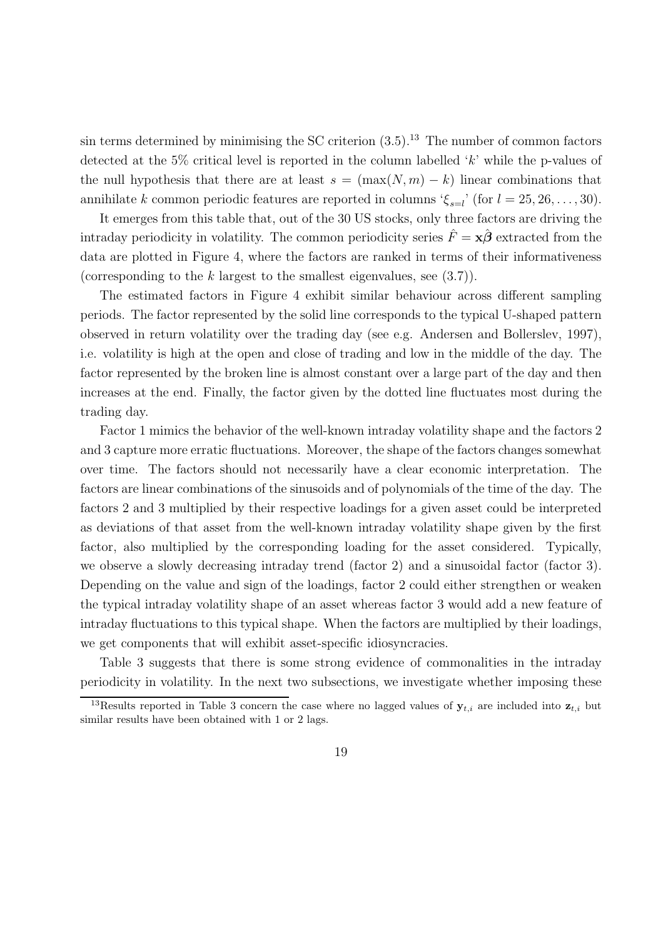sin terms determined by minimising the SC criterion  $(3.5)^{13}$ . The number of common factors detected at the 5% critical level is reported in the column labelled  $k$  while the p-values of the null hypothesis that there are at least  $s = (\max(N, m) - k)$  linear combinations that annihilate k common periodic features are reported in columns ' $\xi_{s=l}$ ' (for  $l = 25, 26, ..., 30$ ).

It emerges from this table that, out of the 30 US stocks, only three factors are driving the intraday periodicity in volatility. The common periodicity series  $\hat{F} = x\hat{\beta}$  extracted from the data are plotted in Figure 4, where the factors are ranked in terms of their informativeness (corresponding to the k largest to the smallest eigenvalues, see  $(3.7)$ ).

The estimated factors in Figure 4 exhibit similar behaviour across different sampling periods. The factor represented by the solid line corresponds to the typical U-shaped pattern observed in return volatility over the trading day (see e.g. Andersen and Bollerslev, 1997), i.e. volatility is high at the open and close of trading and low in the middle of the day. The factor represented by the broken line is almost constant over a large part of the day and then increases at the end. Finally, the factor given by the dotted line fluctuates most during the trading day.

Factor 1 mimics the behavior of the well-known intraday volatility shape and the factors 2 and 3 capture more erratic fluctuations. Moreover, the shape of the factors changes somewhat over time. The factors should not necessarily have a clear economic interpretation. The factors are linear combinations of the sinusoids and of polynomials of the time of the day. The factors 2 and 3 multiplied by their respective loadings for a given asset could be interpreted as deviations of that asset from the well-known intraday volatility shape given by the first factor, also multiplied by the corresponding loading for the asset considered. Typically, we observe a slowly decreasing intraday trend (factor 2) and a sinusoidal factor (factor 3). Depending on the value and sign of the loadings, factor 2 could either strengthen or weaken the typical intraday volatility shape of an asset whereas factor 3 would add a new feature of intraday fluctuations to this typical shape. When the factors are multiplied by their loadings, we get components that will exhibit asset-specific idiosyncracies.

Table 3 suggests that there is some strong evidence of commonalities in the intraday periodicity in volatility. In the next two subsections, we investigate whether imposing these

<sup>&</sup>lt;sup>13</sup>Results reported in Table 3 concern the case where no lagged values of  $y_{t,i}$  are included into  $z_{t,i}$  but similar results have been obtained with 1 or 2 lags.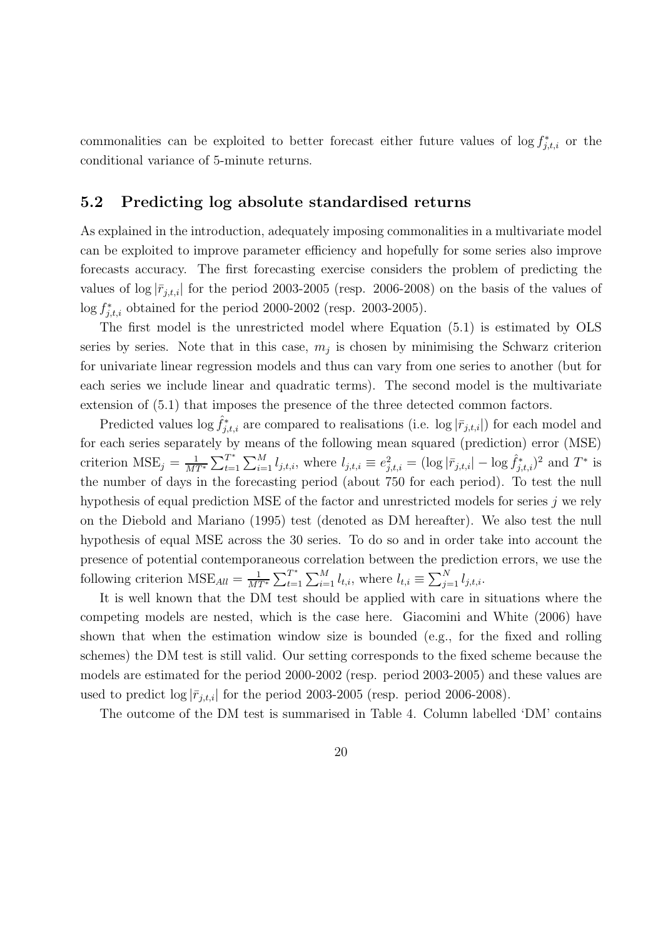commonalities can be exploited to better forecast either future values of  $\log f_{j,t,i}^*$  or the conditional variance of 5-minute returns.

#### 5.2 Predicting log absolute standardised returns

As explained in the introduction, adequately imposing commonalities in a multivariate model can be exploited to improve parameter efficiency and hopefully for some series also improve forecasts accuracy. The first forecasting exercise considers the problem of predicting the values of  $\log |\bar{r}_{j,t,i}|$  for the period 2003-2005 (resp. 2006-2008) on the basis of the values of  $\log f_{j,t,i}^{*}$  obtained for the period 2000-2002 (resp. 2003-2005).

The first model is the unrestricted model where Equation (5.1) is estimated by OLS series by series. Note that in this case,  $m_j$  is chosen by minimising the Schwarz criterion for univariate linear regression models and thus can vary from one series to another (but for each series we include linear and quadratic terms). The second model is the multivariate extension of (5.1) that imposes the presence of the three detected common factors.

Predicted values  $\log \hat{f}_{j,t,i}^*$  are compared to realisations (i.e.  $\log |\bar{r}_{j,t,i}|$ ) for each model and for each series separately by means of the following mean squared (prediction) error (MSE) criterion  $MSE_j = \frac{1}{MT^*} \sum_{t=1}^{T^*}$  $T^*_{t=1} \sum_{i=1}^M l_{j,t,i}$ , where  $l_{j,t,i} \equiv e_{j,t,i}^2 = (\log |\bar{r}_{j,t,i}| - \log \hat{f}_{j,t,i}^*)^2$  and  $T^*$  is the number of days in the forecasting period (about 750 for each period). To test the null hypothesis of equal prediction MSE of the factor and unrestricted models for series  $j$  we rely on the Diebold and Mariano (1995) test (denoted as DM hereafter). We also test the null hypothesis of equal MSE across the 30 series. To do so and in order take into account the presence of potential contemporaneous correlation between the prediction errors, we use the following criterion  $MSE_{All} = \frac{1}{MT^*} \sum_{t=1}^{T^*}$  $T_{t=1}^* \sum_{i=1}^M l_{t,i}$ , where  $l_{t,i} \equiv \sum_{j=1}^N l_{j,t,i}$ .

It is well known that the DM test should be applied with care in situations where the competing models are nested, which is the case here. Giacomini and White (2006) have shown that when the estimation window size is bounded (e.g., for the fixed and rolling schemes) the DM test is still valid. Our setting corresponds to the fixed scheme because the models are estimated for the period 2000-2002 (resp. period 2003-2005) and these values are used to predict  $\log |\bar{r}_{j,t,i}|$  for the period 2003-2005 (resp. period 2006-2008).

The outcome of the DM test is summarised in Table 4. Column labelled 'DM' contains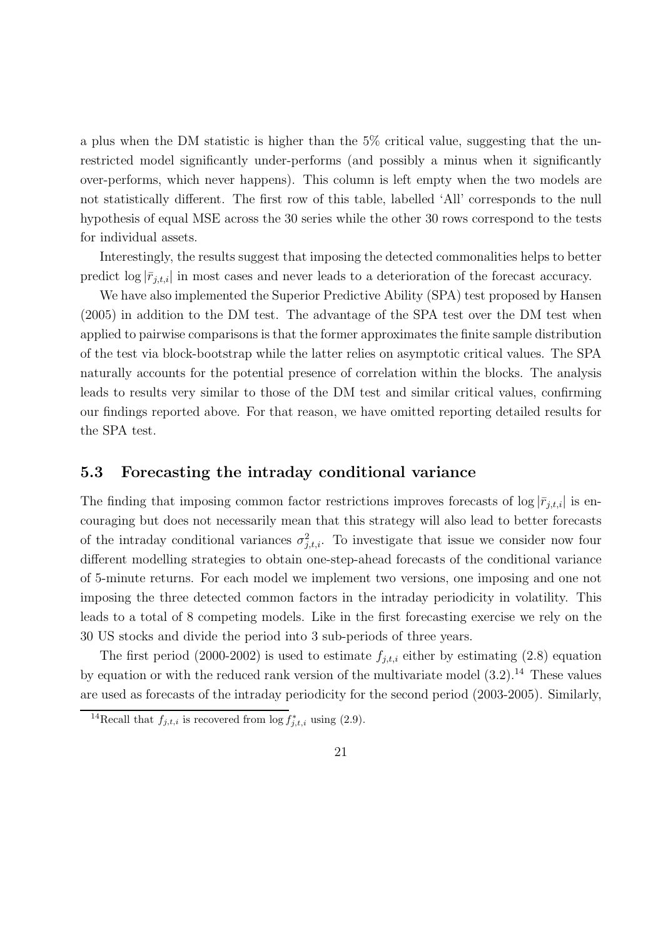a plus when the DM statistic is higher than the 5% critical value, suggesting that the unrestricted model significantly under-performs (and possibly a minus when it significantly over-performs, which never happens). This column is left empty when the two models are not statistically different. The first row of this table, labelled 'All' corresponds to the null hypothesis of equal MSE across the 30 series while the other 30 rows correspond to the tests for individual assets.

Interestingly, the results suggest that imposing the detected commonalities helps to better predict  $\log |\bar{r}_{j,t,i}|$  in most cases and never leads to a deterioration of the forecast accuracy.

We have also implemented the Superior Predictive Ability (SPA) test proposed by Hansen (2005) in addition to the DM test. The advantage of the SPA test over the DM test when applied to pairwise comparisons is that the former approximates the finite sample distribution of the test via block-bootstrap while the latter relies on asymptotic critical values. The SPA naturally accounts for the potential presence of correlation within the blocks. The analysis leads to results very similar to those of the DM test and similar critical values, confirming our findings reported above. For that reason, we have omitted reporting detailed results for the SPA test.

#### 5.3 Forecasting the intraday conditional variance

The finding that imposing common factor restrictions improves forecasts of  $\log |\bar{r}_{j,t,i}|$  is encouraging but does not necessarily mean that this strategy will also lead to better forecasts of the intraday conditional variances  $\sigma_{j,t,i}^2$ . To investigate that issue we consider now four different modelling strategies to obtain one-step-ahead forecasts of the conditional variance of 5-minute returns. For each model we implement two versions, one imposing and one not imposing the three detected common factors in the intraday periodicity in volatility. This leads to a total of 8 competing models. Like in the first forecasting exercise we rely on the 30 US stocks and divide the period into 3 sub-periods of three years.

The first period (2000-2002) is used to estimate  $f_{j,t,i}$  either by estimating (2.8) equation by equation or with the reduced rank version of the multivariate model  $(3.2).^{14}$  These values are used as forecasts of the intraday periodicity for the second period (2003-2005). Similarly,

<sup>&</sup>lt;sup>14</sup>Recall that  $f_{j,t,i}$  is recovered from  $\log f_{j,t,i}^*$  using (2.9).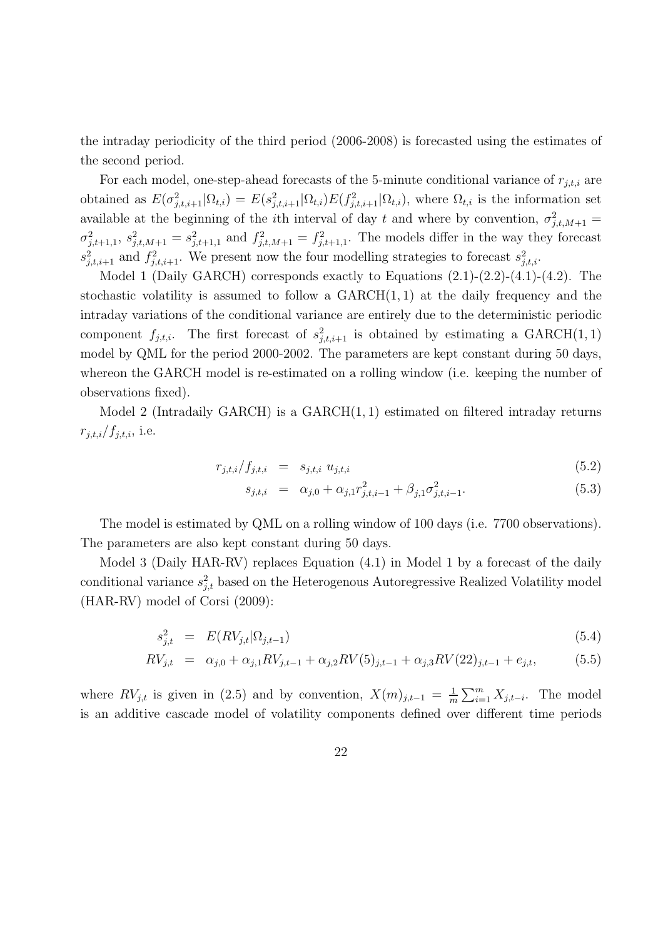the intraday periodicity of the third period (2006-2008) is forecasted using the estimates of the second period.

For each model, one-step-ahead forecasts of the 5-minute conditional variance of  $r_{i,t,i}$  are obtained as  $E(\sigma_{j,t,i+1}^2 | \Omega_{t,i}) = E(s_{j,t,i+1}^2 | \Omega_{t,i}) E(f_{j,t,i+1}^2 | \Omega_{t,i})$ , where  $\Omega_{t,i}$  is the information set available at the beginning of the *i*th interval of day t and where by convention,  $\sigma_{j,t,M+1}^2$  $\sigma_{j,t+1,1}^2$ ,  $s_{j,t,M+1}^2 = s_{j,t+1,1}^2$  and  $f_{j,t,M+1}^2 = f_{j,t+1,1}^2$ . The models differ in the way they forecast  $s_{j,t,i+1}^2$  and  $f_{j,t,i+1}^2$ . We present now the four modelling strategies to forecast  $s_{j,t,i}^2$ .

Model 1 (Daily GARCH) corresponds exactly to Equations  $(2.1)-(2.2)-(4.1)-(4.2)$ . The stochastic volatility is assumed to follow a  $GARCH(1, 1)$  at the daily frequency and the intraday variations of the conditional variance are entirely due to the deterministic periodic component  $f_{j,t,i}$ . The first forecast of  $s_{j,t,i+1}^2$  is obtained by estimating a GARCH(1,1) model by QML for the period 2000-2002. The parameters are kept constant during 50 days, whereon the GARCH model is re-estimated on a rolling window (i.e. keeping the number of observations fixed).

Model 2 (Intradaily GARCH) is a  $GARCH(1, 1)$  estimated on filtered intraday returns  $r_{j,t,i}/f_{j,t,i},$  i.e.

$$
r_{j,t,i}/f_{j,t,i} = s_{j,t,i} u_{j,t,i} \tag{5.2}
$$

$$
s_{j,t,i} = \alpha_{j,0} + \alpha_{j,1} r_{j,t,i-1}^2 + \beta_{j,1} \sigma_{j,t,i-1}^2.
$$
\n(5.3)

The model is estimated by QML on a rolling window of 100 days (i.e. 7700 observations). The parameters are also kept constant during 50 days.

Model 3 (Daily HAR-RV) replaces Equation (4.1) in Model 1 by a forecast of the daily conditional variance  $s_{j,t}^2$  based on the Heterogenous Autoregressive Realized Volatility model (HAR-RV) model of Corsi (2009):

$$
s_{j,t}^2 = E(RV_{j,t}|\Omega_{j,t-1}) \tag{5.4}
$$

$$
RV_{j,t} = \alpha_{j,0} + \alpha_{j,1} RV_{j,t-1} + \alpha_{j,2} RV(5)_{j,t-1} + \alpha_{j,3} RV(22)_{j,t-1} + e_{j,t},
$$
(5.5)

where  $RV_{j,t}$  is given in (2.5) and by convention,  $X(m)_{j,t-1} = \frac{1}{m}$  $\frac{1}{m} \sum_{i=1}^{m} X_{j,t-i}$ . The model is an additive cascade model of volatility components defined over different time periods

22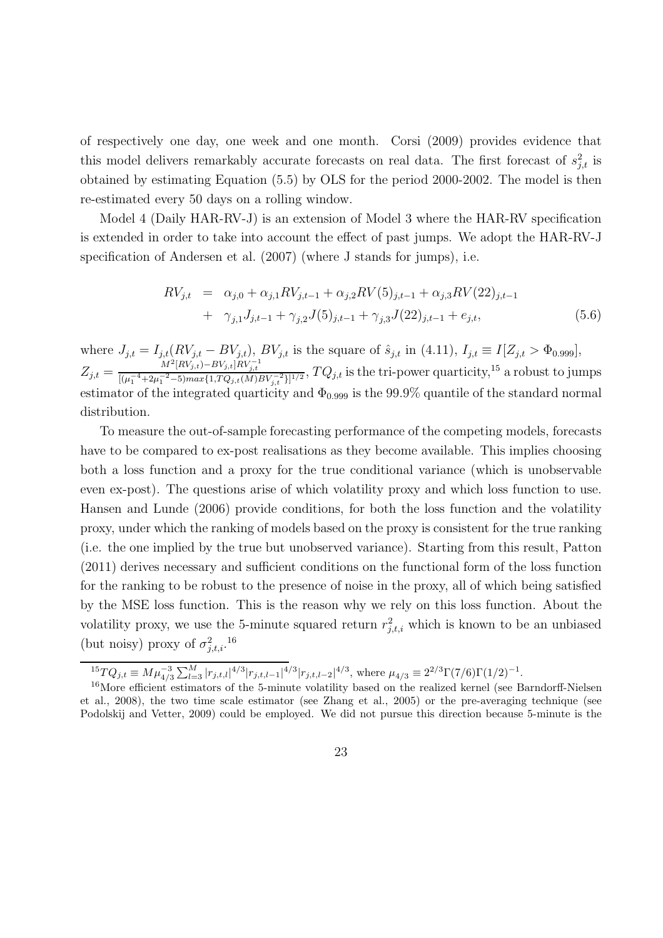of respectively one day, one week and one month. Corsi (2009) provides evidence that this model delivers remarkably accurate forecasts on real data. The first forecast of  $s_{j,t}^2$  is obtained by estimating Equation (5.5) by OLS for the period 2000-2002. The model is then re-estimated every 50 days on a rolling window.

Model 4 (Daily HAR-RV-J) is an extension of Model 3 where the HAR-RV specification is extended in order to take into account the effect of past jumps. We adopt the HAR-RV-J specification of Andersen et al. (2007) (where J stands for jumps), i.e.

$$
RV_{j,t} = \alpha_{j,0} + \alpha_{j,1} RV_{j,t-1} + \alpha_{j,2} RV(5)_{j,t-1} + \alpha_{j,3} RV(22)_{j,t-1} + \gamma_{j,1} J_{j,t-1} + \gamma_{j,2} J(5)_{j,t-1} + \gamma_{j,3} J(22)_{j,t-1} + e_{j,t},
$$
\n(5.6)

where  $J_{j,t} = I_{j,t}(RV_{j,t} - BV_{j,t}), \, BV_{j,t}$  is the square of  $\hat{s}_{j,t}$  in (4.11),  $I_{j,t} \equiv I[Z_{j,t} > \Phi_{0.999}],$  $Z_{j,t} = \frac{M^2 [RV_{j,t}^j] - BV_{j,t}^j]RV_{j,t}^{-1}}{[(u^{-4} + 2u^{-2} - 5)mar^{j} + 7C \cdot (M)t]}$  $\frac{M - [RV_{j,t}) - BV_{j,t}] AV_{j,t}}{[(\mu_1^{-4} + 2\mu_1^{-2} - 5) max\{1, TQ_{j,t}(M)BV_{j,t}^{-2}\}]^{1/2}}, TQ_{j,t}$  is the tri-power quarticity,<sup>15</sup> a robust to jumps estimator of the integrated quarticity and  $\Phi_{0.999}$  is the 99.9% quantile of the standard normal distribution.

To measure the out-of-sample forecasting performance of the competing models, forecasts have to be compared to ex-post realisations as they become available. This implies choosing both a loss function and a proxy for the true conditional variance (which is unobservable even ex-post). The questions arise of which volatility proxy and which loss function to use. Hansen and Lunde (2006) provide conditions, for both the loss function and the volatility proxy, under which the ranking of models based on the proxy is consistent for the true ranking (i.e. the one implied by the true but unobserved variance). Starting from this result, Patton (2011) derives necessary and sufficient conditions on the functional form of the loss function for the ranking to be robust to the presence of noise in the proxy, all of which being satisfied by the MSE loss function. This is the reason why we rely on this loss function. About the volatility proxy, we use the 5-minute squared return  $r_{j,t,i}^2$  which is known to be an unbiased (but noisy) proxy of  $\sigma_{j,t,i}^2$ .<sup>16</sup>

 ${}^{15}TQ_{j,t} \equiv M\mu_{4/3}^{-3}\sum_{l=3}^{M}|r_{j,t,l}|^{4/3}|r_{j,t,l-1}|^{4/3}|r_{j,t,l-2}|^{4/3}$ , where  $\mu_{4/3} \equiv 2^{2/3}\Gamma(7/6)\Gamma(1/2)^{-1}$ .

<sup>&</sup>lt;sup>16</sup>More efficient estimators of the 5-minute volatility based on the realized kernel (see Barndorff-Nielsen et al., 2008), the two time scale estimator (see Zhang et al., 2005) or the pre-averaging technique (see Podolskij and Vetter, 2009) could be employed. We did not pursue this direction because 5-minute is the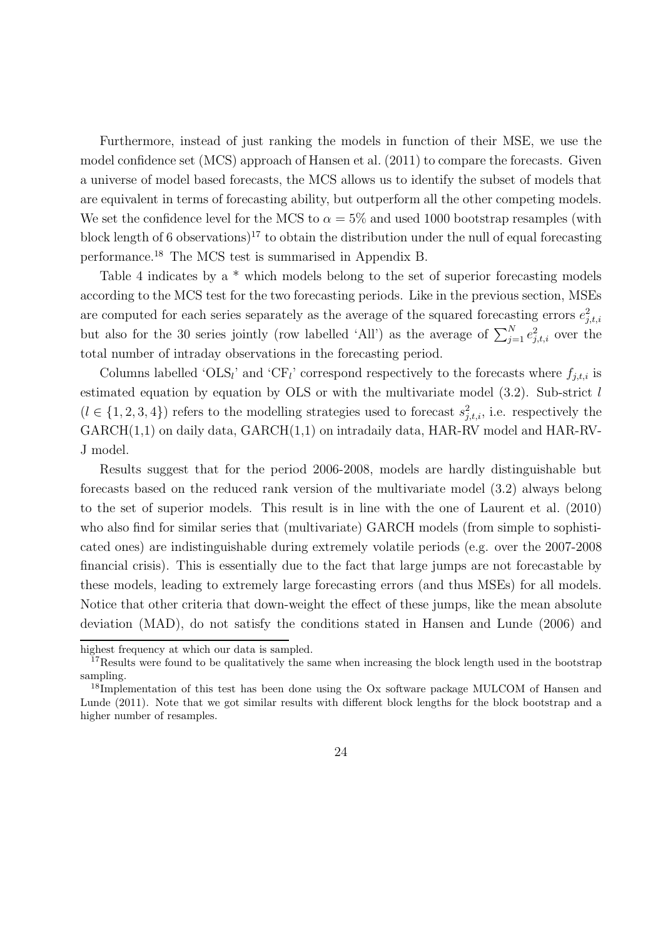Furthermore, instead of just ranking the models in function of their MSE, we use the model confidence set (MCS) approach of Hansen et al. (2011) to compare the forecasts. Given a universe of model based forecasts, the MCS allows us to identify the subset of models that are equivalent in terms of forecasting ability, but outperform all the other competing models. We set the confidence level for the MCS to  $\alpha = 5\%$  and used 1000 bootstrap resamples (with block length of 6 observations)<sup>17</sup> to obtain the distribution under the null of equal forecasting performance.<sup>18</sup> The MCS test is summarised in Appendix B.

Table 4 indicates by a  $*$  which models belong to the set of superior forecasting models according to the MCS test for the two forecasting periods. Like in the previous section, MSEs are computed for each series separately as the average of the squared forecasting errors  $e_{j,t,i}^2$ but also for the 30 series jointly (row labelled 'All') as the average of  $\sum_{j=1}^{N} e_{j,t,i}^2$  over the total number of intraday observations in the forecasting period.

Columns labelled 'OLS<sub>l</sub>' and 'CF<sub>l</sub>' correspond respectively to the forecasts where  $f_{j,t,i}$  is estimated equation by equation by OLS or with the multivariate model  $(3.2)$ . Sub-strict l  $(l \in \{1, 2, 3, 4\})$  refers to the modelling strategies used to forecast  $s_{j,t,i}^2$ , i.e. respectively the GARCH(1,1) on daily data, GARCH(1,1) on intradaily data, HAR-RV model and HAR-RV-J model.

Results suggest that for the period 2006-2008, models are hardly distinguishable but forecasts based on the reduced rank version of the multivariate model (3.2) always belong to the set of superior models. This result is in line with the one of Laurent et al. (2010) who also find for similar series that (multivariate) GARCH models (from simple to sophisticated ones) are indistinguishable during extremely volatile periods (e.g. over the 2007-2008 financial crisis). This is essentially due to the fact that large jumps are not forecastable by these models, leading to extremely large forecasting errors (and thus MSEs) for all models. Notice that other criteria that down-weight the effect of these jumps, like the mean absolute deviation (MAD), do not satisfy the conditions stated in Hansen and Lunde (2006) and

highest frequency at which our data is sampled.

<sup>&</sup>lt;sup>17</sup>Results were found to be qualitatively the same when increasing the block length used in the bootstrap sampling.

<sup>&</sup>lt;sup>18</sup>Implementation of this test has been done using the Ox software package MULCOM of Hansen and Lunde (2011). Note that we got similar results with different block lengths for the block bootstrap and a higher number of resamples.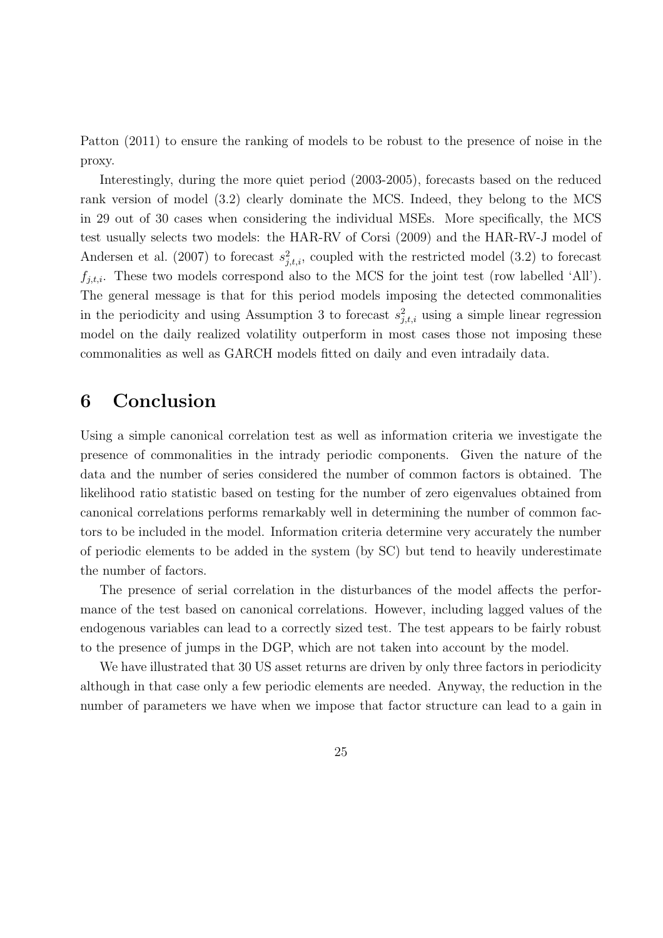Patton (2011) to ensure the ranking of models to be robust to the presence of noise in the proxy.

Interestingly, during the more quiet period (2003-2005), forecasts based on the reduced rank version of model (3.2) clearly dominate the MCS. Indeed, they belong to the MCS in 29 out of 30 cases when considering the individual MSEs. More specifically, the MCS test usually selects two models: the HAR-RV of Corsi (2009) and the HAR-RV-J model of Andersen et al. (2007) to forecast  $s_{j,t,i}^2$ , coupled with the restricted model (3.2) to forecast  $f_{j,t,i}$ . These two models correspond also to the MCS for the joint test (row labelled 'All'). The general message is that for this period models imposing the detected commonalities in the periodicity and using Assumption 3 to forecast  $s_{j,t,i}^2$  using a simple linear regression model on the daily realized volatility outperform in most cases those not imposing these commonalities as well as GARCH models fitted on daily and even intradaily data.

## 6 Conclusion

Using a simple canonical correlation test as well as information criteria we investigate the presence of commonalities in the intrady periodic components. Given the nature of the data and the number of series considered the number of common factors is obtained. The likelihood ratio statistic based on testing for the number of zero eigenvalues obtained from canonical correlations performs remarkably well in determining the number of common factors to be included in the model. Information criteria determine very accurately the number of periodic elements to be added in the system (by SC) but tend to heavily underestimate the number of factors.

The presence of serial correlation in the disturbances of the model affects the performance of the test based on canonical correlations. However, including lagged values of the endogenous variables can lead to a correctly sized test. The test appears to be fairly robust to the presence of jumps in the DGP, which are not taken into account by the model.

We have illustrated that 30 US asset returns are driven by only three factors in periodicity although in that case only a few periodic elements are needed. Anyway, the reduction in the number of parameters we have when we impose that factor structure can lead to a gain in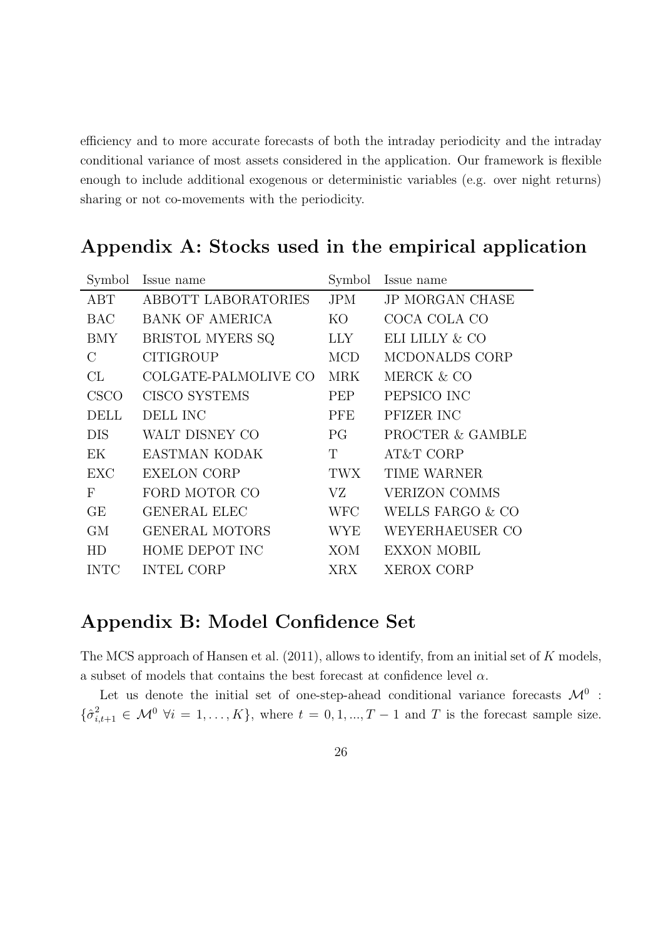efficiency and to more accurate forecasts of both the intraday periodicity and the intraday conditional variance of most assets considered in the application. Our framework is flexible enough to include additional exogenous or deterministic variables (e.g. over night returns) sharing or not co-movements with the periodicity.

| Symbol         | Issue name            | Symbol      | Issue name             |
|----------------|-----------------------|-------------|------------------------|
| ABT            | ABBOTT LABORATORIES   | <b>JPM</b>  | <b>JP MORGAN CHASE</b> |
| <b>BAC</b>     | BANK OF AMERICA       | KO          | COCA COLA CO           |
| BMY            | BRISTOL MYERS SQ      | LLY.        | ELI LILLY & CO         |
| $\mathcal{C}$  | <b>CITIGROUP</b>      | <b>MCD</b>  | MCDONALDS CORP         |
| CL             | COLGATE-PALMOLIVE CO  | <b>MRK</b>  | MERCK & CO             |
| <b>CSCO</b>    | <b>CISCO SYSTEMS</b>  | <b>PEP</b>  | PEPSICO INC            |
| <b>DELL</b>    | <b>DELL INC</b>       | PFE         | PFIZER INC             |
| <b>DIS</b>     | WALT DISNEY CO        | PG.         | PROCTER & GAMBLE       |
| EK             | EASTMAN KODAK         | $\mathbf T$ | AT&T CORP              |
| EXC            | <b>EXELON CORP</b>    | TWX         | TIME WARNER            |
| F              | FORD MOTOR CO         | VZ          | <b>VERIZON COMMS</b>   |
| GE             | <b>GENERAL ELEC</b>   | <b>WFC</b>  | WELLS FARGO & CO       |
| GМ             | <b>GENERAL MOTORS</b> | <b>WYE</b>  | WEYERHAEUSER CO        |
| H <sub>D</sub> | HOME DEPOT INC        | <b>XOM</b>  | <b>EXXON MOBIL</b>     |
| <b>INTC</b>    | <b>INTEL CORP</b>     | XRX         | <b>XEROX CORP</b>      |

## Appendix A: Stocks used in the empirical application

## Appendix B: Model Confidence Set

The MCS approach of Hansen et al. (2011), allows to identify, from an initial set of K models, a subset of models that contains the best forecast at confidence level  $\alpha$ .

Let us denote the initial set of one-step-ahead conditional variance forecasts  $\mathcal{M}^0$ :  $\{\hat{\sigma}_{i,t+1}^2 \in \mathcal{M}^0 \; \forall i = 1,\ldots,K\}$ , where  $t = 0, 1, \ldots, T-1$  and T is the forecast sample size.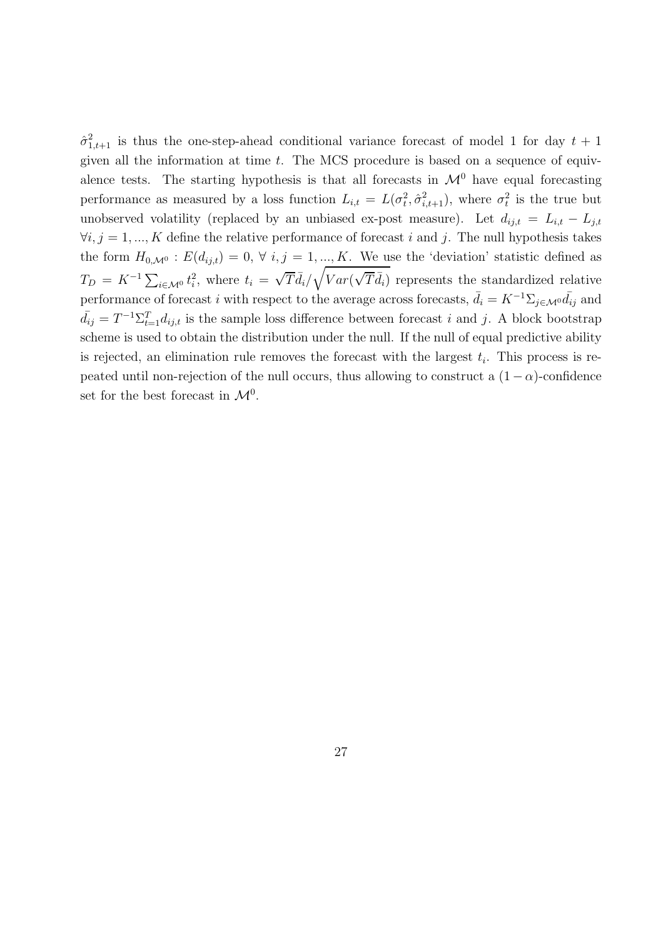$\hat{\sigma}_{1,t+1}^2$  is thus the one-step-ahead conditional variance forecast of model 1 for day  $t+1$ given all the information at time  $t$ . The MCS procedure is based on a sequence of equivalence tests. The starting hypothesis is that all forecasts in  $\mathcal{M}^0$  have equal forecasting performance as measured by a loss function  $L_{i,t} = L(\sigma_t^2, \hat{\sigma}_{i,t+1}^2)$ , where  $\sigma_t^2$  is the true but unobserved volatility (replaced by an unbiased ex-post measure). Let  $d_{ij,t} = L_{i,t} - L_{j,t}$  $\forall i, j = 1, ..., K$  define the relative performance of forecast i and j. The null hypothesis takes the form  $H_{0,\mathcal{M}^0}$ :  $E(d_{ij,t}) = 0, \forall i, j = 1, ..., K$ . We use the 'deviation' statistic defined as  $T_D = K^{-1} \sum_{i \in \mathcal{M}^0} t_i^2$ , where  $t_i = \sqrt{T} \bar{d}_i / \sqrt{Var(\sqrt{T} \bar{d}_i)}$  represents the standardized relative performance of forecast i with respect to the average across forecasts,  $\bar{d}_i = K^{-1}\Sigma_{j\in\mathcal{M}^0}\bar{d}_{ij}$  and  $\bar{d}_{ij} = T^{-1} \Sigma_{t=1}^T d_{ij,t}$  is the sample loss difference between forecast i and j. A block bootstrap scheme is used to obtain the distribution under the null. If the null of equal predictive ability is rejected, an elimination rule removes the forecast with the largest  $t_i$ . This process is repeated until non-rejection of the null occurs, thus allowing to construct a  $(1 - \alpha)$ -confidence set for the best forecast in  $\mathcal{M}^0$ .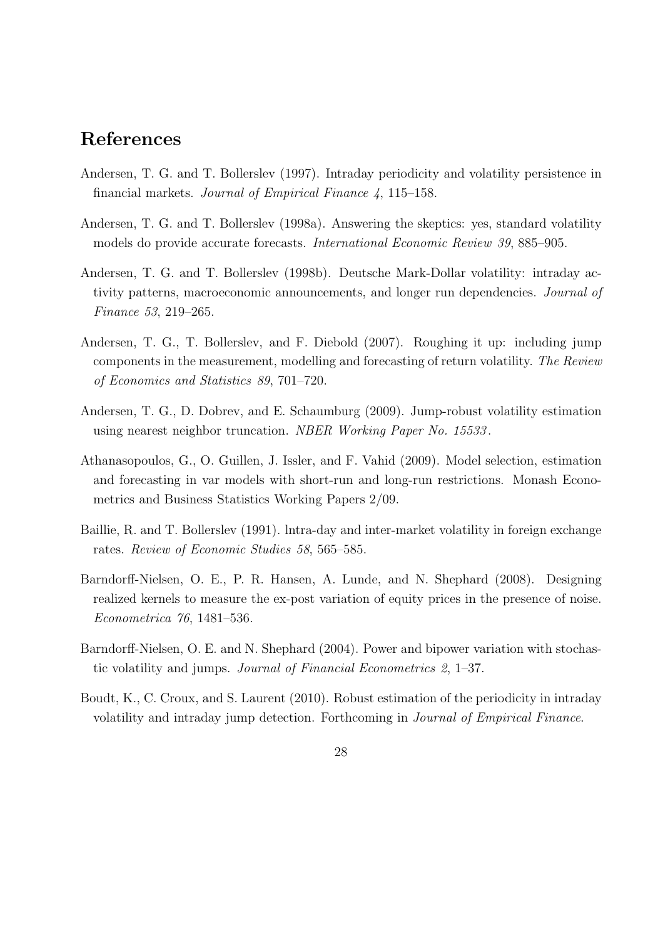## References

- Andersen, T. G. and T. Bollerslev (1997). Intraday periodicity and volatility persistence in financial markets. *Journal of Empirical Finance 4*, 115–158.
- Andersen, T. G. and T. Bollerslev (1998a). Answering the skeptics: yes, standard volatility models do provide accurate forecasts. *International Economic Review 39*, 885–905.
- Andersen, T. G. and T. Bollerslev (1998b). Deutsche Mark-Dollar volatility: intraday activity patterns, macroeconomic announcements, and longer run dependencies. *Journal of Finance 53*, 219–265.
- Andersen, T. G., T. Bollerslev, and F. Diebold (2007). Roughing it up: including jump components in the measurement, modelling and forecasting of return volatility. *The Review of Economics and Statistics 89*, 701–720.
- Andersen, T. G., D. Dobrev, and E. Schaumburg (2009). Jump-robust volatility estimation using nearest neighbor truncation. *NBER Working Paper No. 15533* .
- Athanasopoulos, G., O. Guillen, J. Issler, and F. Vahid (2009). Model selection, estimation and forecasting in var models with short-run and long-run restrictions. Monash Econometrics and Business Statistics Working Papers 2/09.
- Baillie, R. and T. Bollerslev (1991). lntra-day and inter-market volatility in foreign exchange rates. *Review of Economic Studies 58*, 565–585.
- Barndorff-Nielsen, O. E., P. R. Hansen, A. Lunde, and N. Shephard (2008). Designing realized kernels to measure the ex-post variation of equity prices in the presence of noise. *Econometrica 76*, 1481–536.
- Barndorff-Nielsen, O. E. and N. Shephard (2004). Power and bipower variation with stochastic volatility and jumps. *Journal of Financial Econometrics 2*, 1–37.
- Boudt, K., C. Croux, and S. Laurent (2010). Robust estimation of the periodicity in intraday volatility and intraday jump detection. Forthcoming in *Journal of Empirical Finance*.
	- 28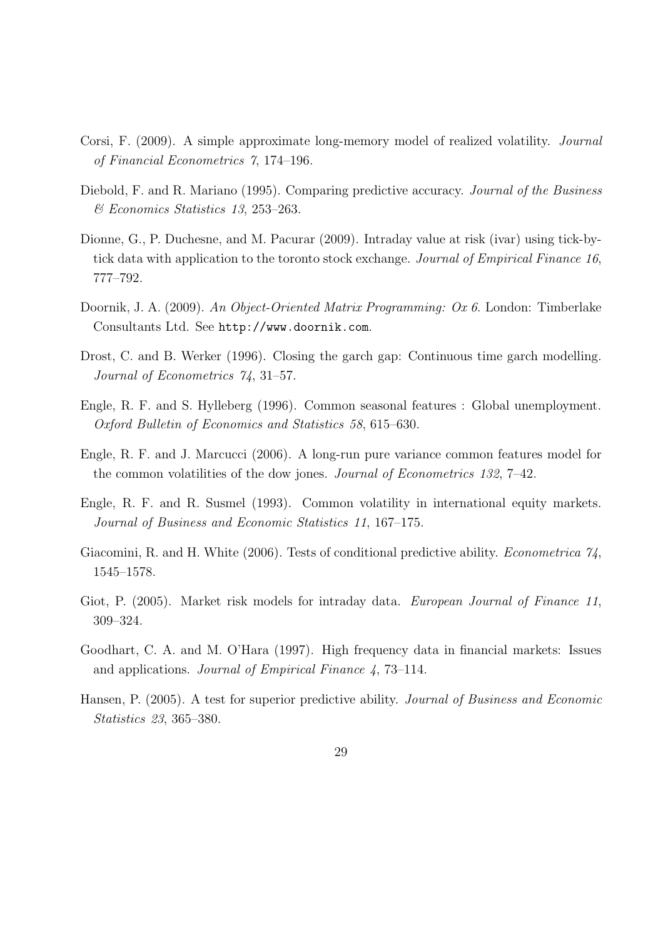- Corsi, F. (2009). A simple approximate long-memory model of realized volatility. *Journal of Financial Econometrics 7*, 174–196.
- Diebold, F. and R. Mariano (1995). Comparing predictive accuracy. *Journal of the Business & Economics Statistics 13*, 253–263.
- Dionne, G., P. Duchesne, and M. Pacurar (2009). Intraday value at risk (ivar) using tick-bytick data with application to the toronto stock exchange. *Journal of Empirical Finance 16*, 777–792.
- Doornik, J. A. (2009). *An Object-Oriented Matrix Programming: Ox 6*. London: Timberlake Consultants Ltd. See http://www.doornik.com.
- Drost, C. and B. Werker (1996). Closing the garch gap: Continuous time garch modelling. *Journal of Econometrics 74*, 31–57.
- Engle, R. F. and S. Hylleberg (1996). Common seasonal features : Global unemployment. *Oxford Bulletin of Economics and Statistics 58*, 615–630.
- Engle, R. F. and J. Marcucci (2006). A long-run pure variance common features model for the common volatilities of the dow jones. *Journal of Econometrics 132*, 7–42.
- Engle, R. F. and R. Susmel (1993). Common volatility in international equity markets. *Journal of Business and Economic Statistics 11*, 167–175.
- Giacomini, R. and H. White (2006). Tests of conditional predictive ability. *Econometrica 74*, 1545–1578.
- Giot, P. (2005). Market risk models for intraday data. *European Journal of Finance 11*, 309–324.
- Goodhart, C. A. and M. O'Hara (1997). High frequency data in financial markets: Issues and applications. *Journal of Empirical Finance 4*, 73–114.
- Hansen, P. (2005). A test for superior predictive ability. *Journal of Business and Economic Statistics 23*, 365–380.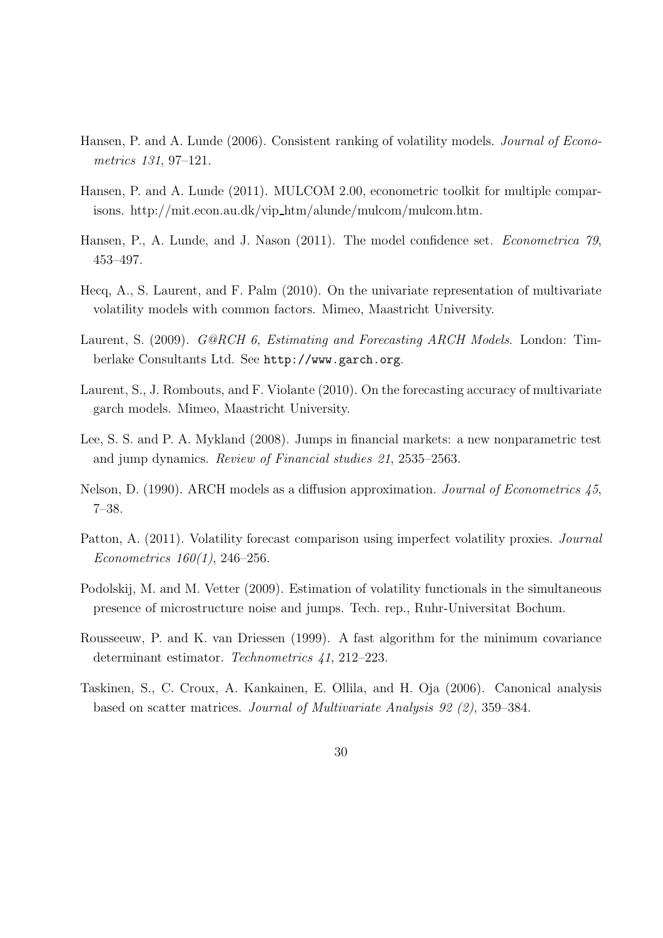- Hansen, P. and A. Lunde (2006). Consistent ranking of volatility models. *Journal of Econometrics 131*, 97–121.
- Hansen, P. and A. Lunde (2011). MULCOM 2.00, econometric toolkit for multiple comparisons. http://mit.econ.au.dk/vip htm/alunde/mulcom/mulcom.htm.
- Hansen, P., A. Lunde, and J. Nason (2011). The model confidence set. *Econometrica 79*, 453–497.
- Hecq, A., S. Laurent, and F. Palm (2010). On the univariate representation of multivariate volatility models with common factors. Mimeo, Maastricht University.
- Laurent, S. (2009). *G@RCH 6, Estimating and Forecasting ARCH Models*. London: Timberlake Consultants Ltd. See http://www.garch.org.
- Laurent, S., J. Rombouts, and F. Violante (2010). On the forecasting accuracy of multivariate garch models. Mimeo, Maastricht University.
- Lee, S. S. and P. A. Mykland (2008). Jumps in financial markets: a new nonparametric test and jump dynamics. *Review of Financial studies 21*, 2535–2563.
- Nelson, D. (1990). ARCH models as a diffusion approximation. *Journal of Econometrics 45*, 7–38.
- Patton, A. (2011). Volatility forecast comparison using imperfect volatility proxies. *Journal Econometrics 160(1)*, 246–256.
- Podolskij, M. and M. Vetter (2009). Estimation of volatility functionals in the simultaneous presence of microstructure noise and jumps. Tech. rep., Ruhr-Universitat Bochum.
- Rousseeuw, P. and K. van Driessen (1999). A fast algorithm for the minimum covariance determinant estimator. *Technometrics 41*, 212–223.
- Taskinen, S., C. Croux, A. Kankainen, E. Ollila, and H. Oja (2006). Canonical analysis based on scatter matrices. *Journal of Multivariate Analysis 92 (2)*, 359–384.
	- 30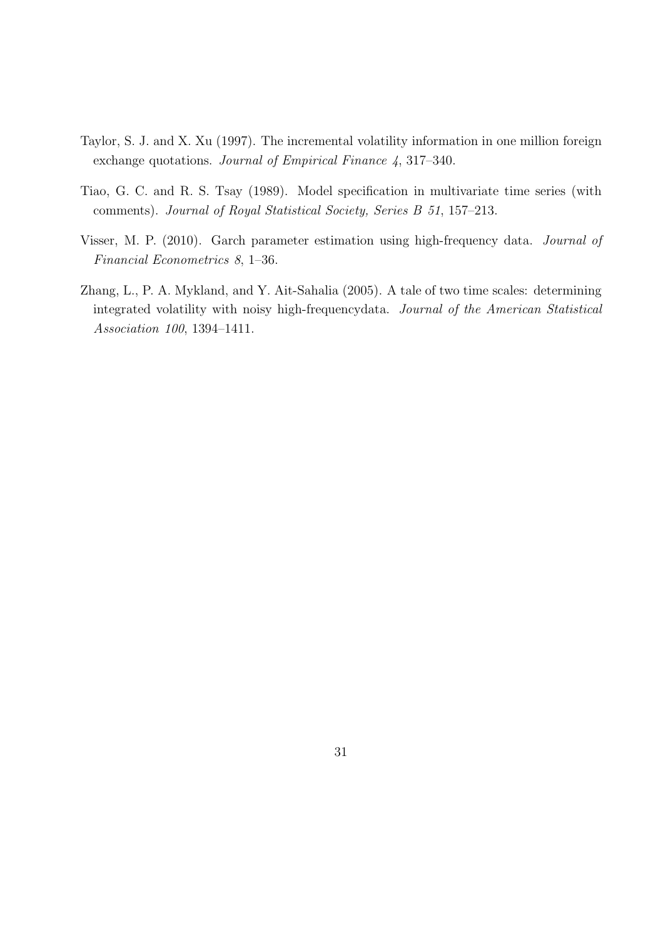- Taylor, S. J. and X. Xu (1997). The incremental volatility information in one million foreign exchange quotations. *Journal of Empirical Finance 4*, 317–340.
- Tiao, G. C. and R. S. Tsay (1989). Model specification in multivariate time series (with comments). *Journal of Royal Statistical Society, Series B 51*, 157–213.
- Visser, M. P. (2010). Garch parameter estimation using high-frequency data. *Journal of Financial Econometrics 8*, 1–36.
- Zhang, L., P. A. Mykland, and Y. Ait-Sahalia (2005). A tale of two time scales: determining integrated volatility with noisy high-frequencydata. *Journal of the American Statistical Association 100*, 1394–1411.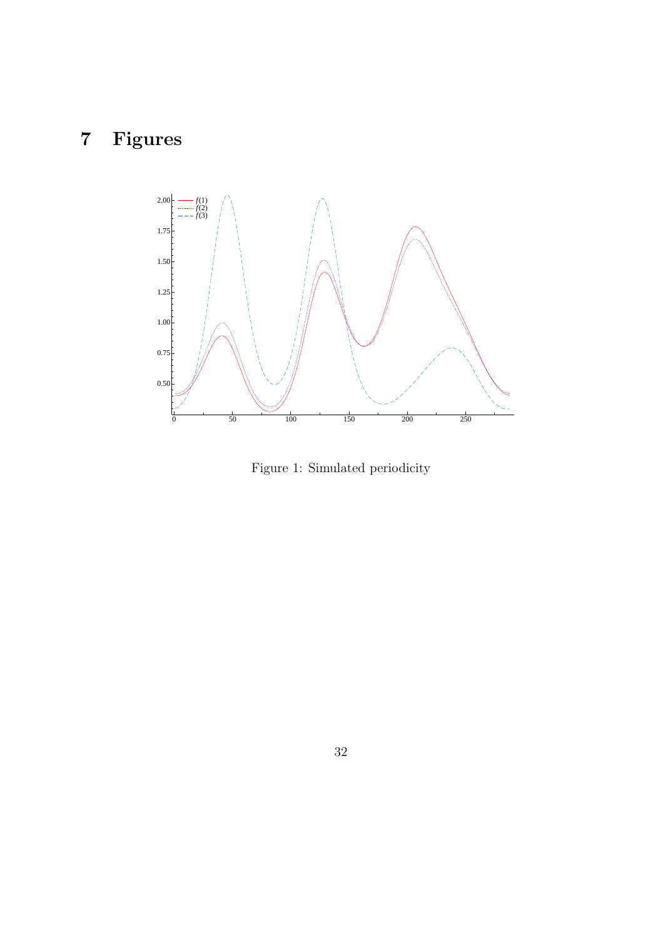# 7 Figures



Figure 1: Simulated periodicity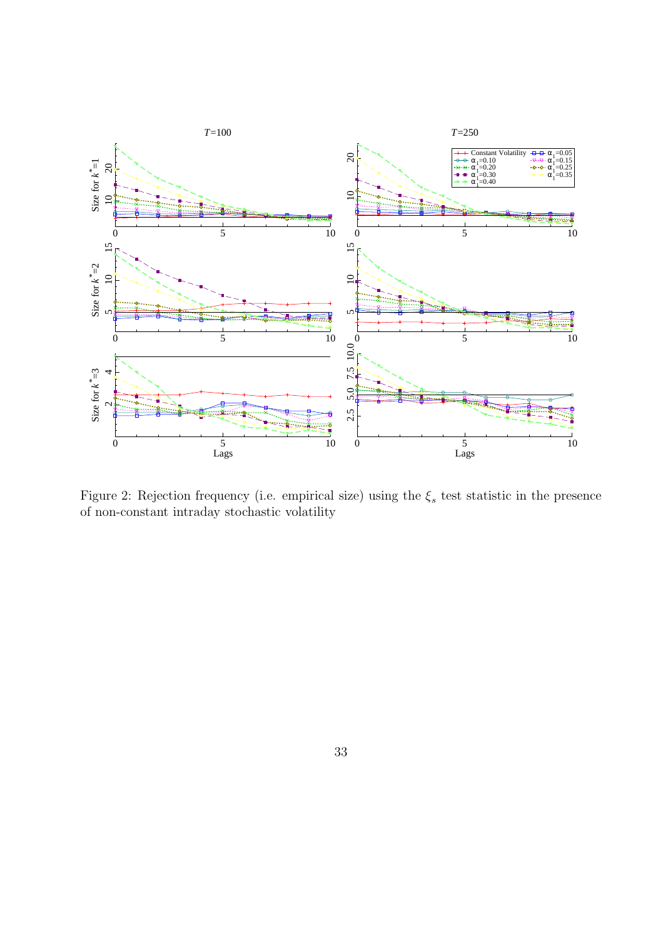

Figure 2: Rejection frequency (i.e. empirical size) using the  $\xi_s$  test statistic in the presence of non-constant intraday stochastic volatility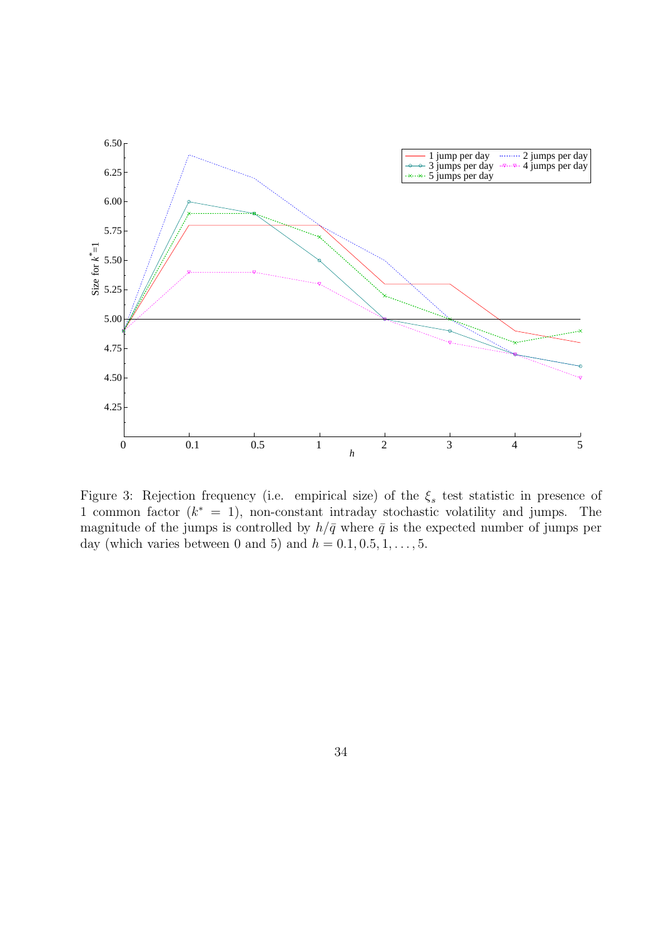

Figure 3: Rejection frequency (i.e. empirical size) of the  $\xi_s$  test statistic in presence of 1 common factor  $(k^* = 1)$ , non-constant intraday stochastic volatility and jumps. The magnitude of the jumps is controlled by  $h/\bar{q}$  where  $\bar{q}$  is the expected number of jumps per day (which varies between 0 and 5) and  $h = 0.1, 0.5, 1, \ldots, 5$ .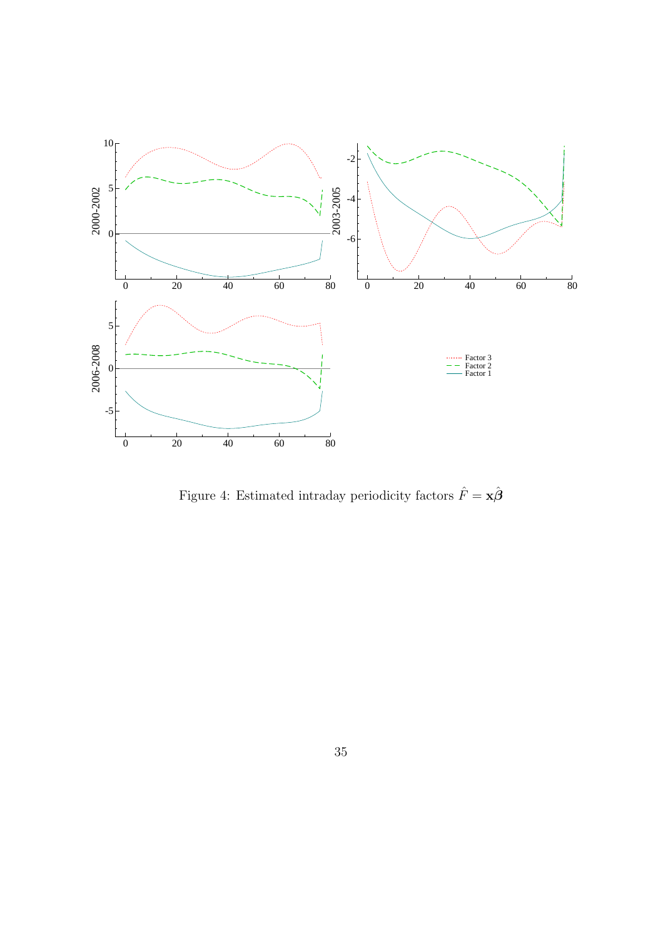

Figure 4: Estimated intraday periodicity factors  $\hat{F} = \mathbf{x}\hat{\boldsymbol{\beta}}$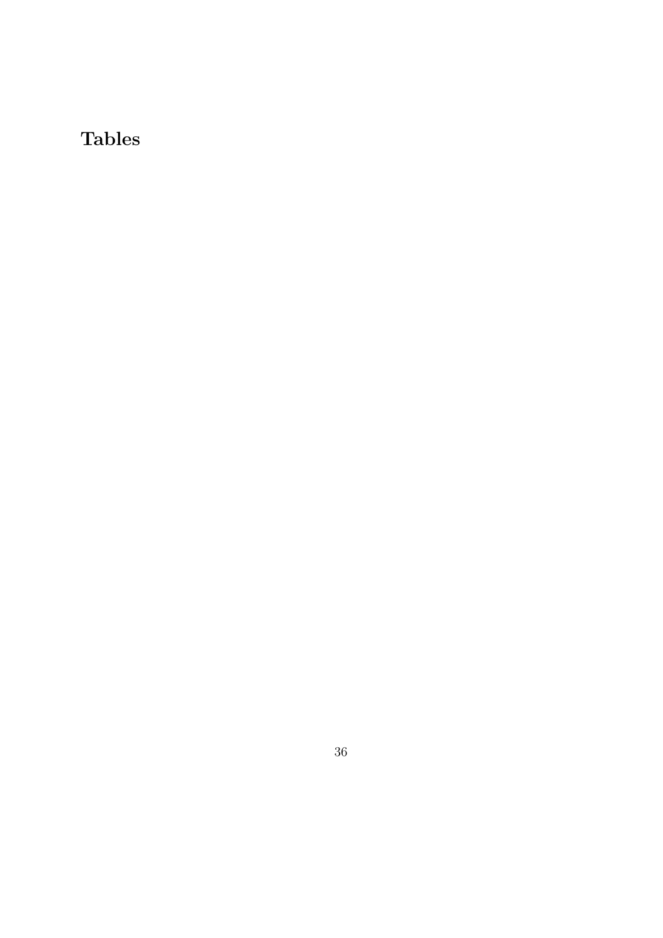# Tables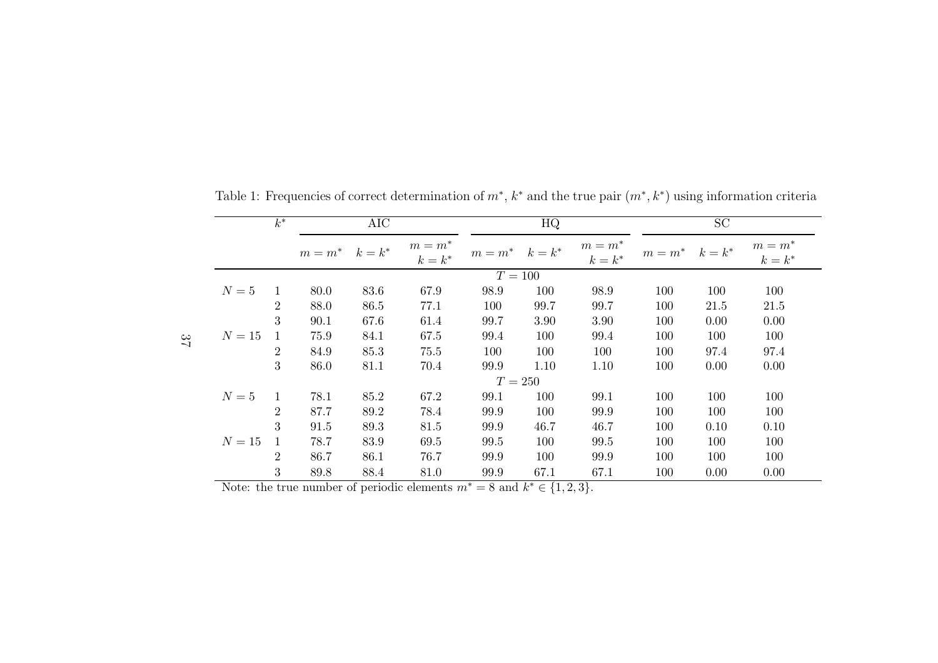|           | $k^*$          |                     | AIC  |                        |                     | HQ   |                        | SC                  |      |                        |  |  |  |
|-----------|----------------|---------------------|------|------------------------|---------------------|------|------------------------|---------------------|------|------------------------|--|--|--|
|           |                | $m = m^*$ $k = k^*$ |      | $m = m^*$<br>$k = k^*$ | $m = m^*$ $k = k^*$ |      | $m = m^*$<br>$k = k^*$ | $m = m^*$ $k = k^*$ |      | $m = m^*$<br>$k = k^*$ |  |  |  |
| $T = 100$ |                |                     |      |                        |                     |      |                        |                     |      |                        |  |  |  |
| $N=5$     | 1              | 80.0                | 83.6 | 67.9                   | 98.9                | 100  | 98.9                   | 100                 | 100  | 100                    |  |  |  |
|           | $\overline{2}$ | 88.0                | 86.5 | 77.1                   | 100                 | 99.7 | 99.7                   | 100                 | 21.5 | 21.5                   |  |  |  |
|           | 3              | 90.1                | 67.6 | 61.4                   | 99.7                | 3.90 | 3.90                   | 100                 | 0.00 | 0.00                   |  |  |  |
| $N=15$    | 1              | 75.9                | 84.1 | 67.5                   | 99.4                | 100  | 99.4                   | 100                 | 100  | 100                    |  |  |  |
|           | $\overline{2}$ | 84.9                | 85.3 | 75.5                   | 100                 | 100  | 100                    | 100                 | 97.4 | 97.4                   |  |  |  |
|           | 3              | 86.0                | 81.1 | 70.4                   | 99.9                | 1.10 | 1.10                   | 100                 | 0.00 | 0.00                   |  |  |  |
|           |                |                     |      |                        | $T = 250$           |      |                        |                     |      |                        |  |  |  |
| $N=5$     | $\mathbf{1}$   | 78.1                | 85.2 | 67.2                   | 99.1                | 100  | 99.1                   | 100                 | 100  | 100                    |  |  |  |
|           | $\overline{2}$ | 87.7                | 89.2 | 78.4                   | 99.9                | 100  | 99.9                   | 100                 | 100  | 100                    |  |  |  |
|           | 3              | 91.5                | 89.3 | 81.5                   | 99.9                | 46.7 | 46.7                   | 100                 | 0.10 | 0.10                   |  |  |  |
| $N=15$    |                | 78.7                | 83.9 | 69.5                   | 99.5                | 100  | 99.5                   | 100                 | 100  | 100                    |  |  |  |
|           | $\overline{2}$ | 86.7                | 86.1 | 76.7                   | 99.9                | 100  | 99.9                   | 100                 | 100  | 100                    |  |  |  |
|           | 3              | 89.8                | 88.4 | 81.0                   | 99.9                | 67.1 | 67.1                   | 100                 | 0.00 | 0.00                   |  |  |  |

Table 1: Frequencies of correct determination of  $m^*$ ,  $k^*$  and the true pair  $(m^*, k^*)$  using information criteria

Note: the true number of periodic elements  $m^* = 8$  and k  $* \in \{1, 2, 3\}.$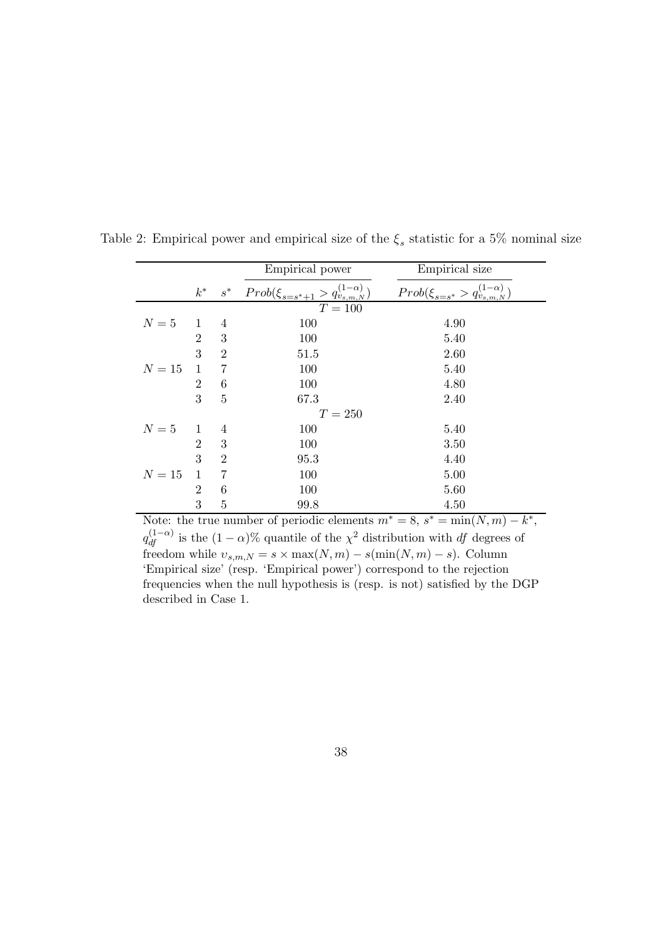|              |                |                | Empirical power                                    | Empirical size                                          |
|--------------|----------------|----------------|----------------------------------------------------|---------------------------------------------------------|
|              | $k^*$          | $s^*$          | $Prob(\xi_{s=s^*+1} > q_{v_{s,m,N}}^{(1-\alpha)})$ | $Prob(\xi_{s=s^*} > q_{v_{s,m,N}}^{(1-\alpha)})$        |
|              |                |                | $T=100$                                            |                                                         |
| $N=5$        | 1              | 4              | 100                                                | 4.90                                                    |
|              | $\overline{2}$ | 3              | 100                                                | 5.40                                                    |
|              | 3              | $\overline{2}$ | 51.5                                               | 2.60                                                    |
| $N=15$       |                | 7              | 100                                                | 5.40                                                    |
|              | $\overline{2}$ | 6              | 100                                                | 4.80                                                    |
|              | 3              | $\overline{5}$ | 67.3                                               | 2.40                                                    |
|              |                |                | $T=250\,$                                          |                                                         |
| $N=5$        | 1              | 4              | 100                                                | 5.40                                                    |
|              | $\overline{2}$ | 3              | 100                                                | 3.50                                                    |
|              | 3              | $\overline{2}$ | 95.3                                               | 4.40                                                    |
| $N=15$       | 1              | 7              | 100                                                | 5.00                                                    |
|              | $\overline{2}$ | 6              | 100                                                | 5.60                                                    |
|              | 3              | $\overline{5}$ | 99.8                                               | 4.50                                                    |
| $\mathbf{X}$ |                |                | $\epsilon$<br>$\mathbf{L}$<br>$\cdot$ 1.<br>п.     | $7 *$<br>$\star$<br>$\sim$ *<br>$\sqrt{3}$<br>$\lambda$ |

Table 2: Empirical power and empirical size of the  $\xi_s$  statistic for a 5% nominal size

Note: the true number of periodic elements  $m^* = 8$ ,  $s^* = \min(N, m) - k^*$ ,  $q_{df}^{(1-\alpha)}$  is the  $(1-\alpha)\%$  quantile of the  $\chi^2$  distribution with df degrees of freedom while  $v_{s,m,N} = s \times \max(N,m) - s(\min(N,m) - s)$ . Column 'Empirical size' (resp. 'Empirical power') correspond to the rejection frequencies when the null hypothesis is (resp. is not) satisfied by the DGP described in Case 1.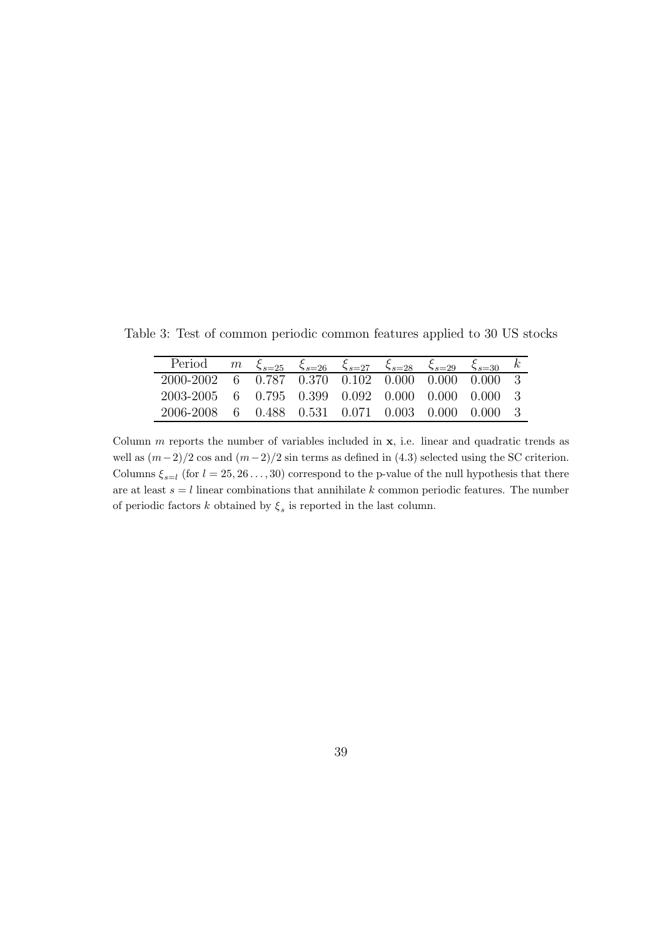Period *m*  $\xi_{s=25}$   $\xi_{s=26}$   $\xi_{s=27}$   $\xi_{s=28}$   $\xi_{s=29}$   $\xi_{s=30}$  k Period *m*  $\xi_{s=25}$   $\xi_{s=26}$   $\xi_{s=27}$   $\xi_{s=28}$   $\xi_{s=29}$   $\xi_{s=30}$  *k* 2000-2002 6 0.787 0.370 0.102 0.000 0.000 0.000 3 2003-2005 6 0.795 0.399 0.092 0.000 0.000 0.000 3 2006-2008 6 0.488 0.531 0.071 0.003 0.000 0.000 3

Table 3: Test of common periodic common features applied to 30 US stocks

Column  $m$  reports the number of variables included in  $x$ , i.e. linear and quadratic trends as well as  $(m-2)/2$  cos and  $(m-2)/2$  sin terms as defined in (4.3) selected using the SC criterion. Columns  $\xi_{s=l}$  (for  $l = 25, 26...,30$ ) correspond to the p-value of the null hypothesis that there are at least  $s = l$  linear combinations that annihilate k common periodic features. The number of periodic factors  $k$  obtained by  $\xi_s$  is reported in the last column.